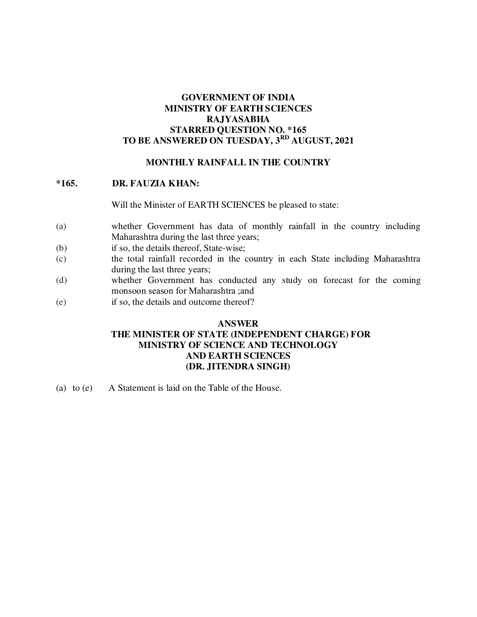### **GOVERNMENT OF INDIA MINISTRY OF EARTH SCIENCES RAJYASABHA STARRED QUESTION NO. \*165 TO BE ANSWERED ON TUESDAY, 3 RD AUGUST, 2021**

#### **MONTHLY RAINFALL IN THE COUNTRY**

#### **\*165. DR. FAUZIA KHAN:**

Will the Minister of EARTH SCIENCES be pleased to state:

- (a) whether Government has data of monthly rainfall in the country including Maharashtra during the last three years;
- (b) if so, the details thereof, State-wise;
- (c) the total rainfall recorded in the country in each State including Maharashtra during the last three years;
- (d) whether Government has conducted any study on forecast for the coming monsoon season for Maharashtra ;and
- (e) if so, the details and outcome thereof?

### **ANSWER THE MINISTER OF STATE (INDEPENDENT CHARGE) FOR MINISTRY OF SCIENCE AND TECHNOLOGY AND EARTH SCIENCES (DR. JITENDRA SINGH)**

(a) to (e) A Statement is laid on the Table of the House.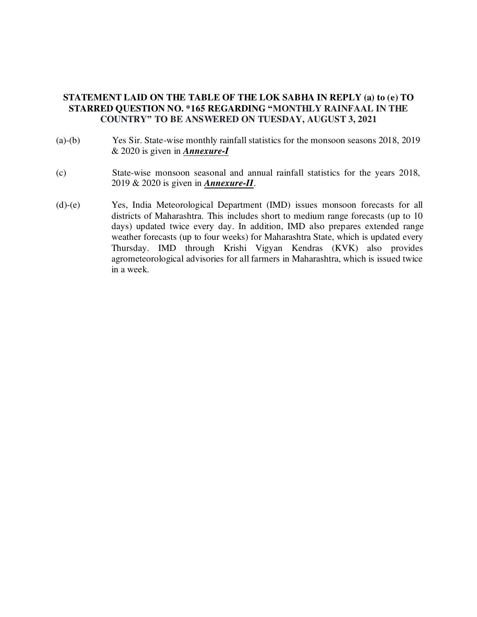### **STATEMENT LAID ON THE TABLE OF THE LOK SABHA IN REPLY (a) to (e) TO STARRED QUESTION NO. \*165 REGARDING "MONTHLY RAINFAAL IN THE COUNTRY" TO BE ANSWERED ON TUESDAY, AUGUST 3, 2021**

- (a)-(b) Yes Sir. State-wise monthly rainfall statistics for the monsoon seasons 2018, 2019 & 2020 is given in *Annexure-I*
- (c) State-wise monsoon seasonal and annual rainfall statistics for the years 2018, 2019 & 2020 is given in *Annexure-II*.
- (d)-(e) Yes, India Meteorological Department (IMD) issues monsoon forecasts for all districts of Maharashtra. This includes short to medium range forecasts (up to 10 days) updated twice every day. In addition, IMD also prepares extended range weather forecasts (up to four weeks) for Maharashtra State, which is updated every Thursday. IMD through Krishi Vigyan Kendras (KVK) also provides agrometeorological advisories for all farmers in Maharashtra, which is issued twice in a week.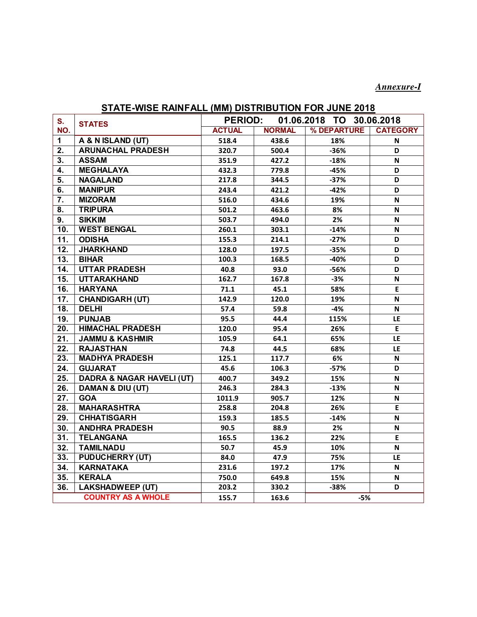## *Annexure-I*

## **STATE-WISE RAINFALL (MM) DISTRIBUTION FOR JUNE 2018**

| S.  |                                      | <b>PERIOD:</b> |               | 01.06.2018 TO 30.06.2018 |                 |
|-----|--------------------------------------|----------------|---------------|--------------------------|-----------------|
| NO. | <b>STATES</b>                        | <b>ACTUAL</b>  | <b>NORMAL</b> | % DEPARTURE              | <b>CATEGORY</b> |
| 1   | A & N ISLAND (UT)                    | 518.4          | 438.6         | 18%                      | N               |
| 2.  | <b>ARUNACHAL PRADESH</b>             | 320.7          | 500.4         | $-36%$                   | D               |
| 3.  | <b>ASSAM</b>                         | 351.9          | 427.2         | $-18%$                   | N               |
| 4.  | <b>MEGHALAYA</b>                     | 432.3          | 779.8         | $-45%$                   | D               |
| 5.  | <b>NAGALAND</b>                      | 217.8          | 344.5         | $-37%$                   | D               |
| 6.  | <b>MANIPUR</b>                       | 243.4          | 421.2         | $-42%$                   | D               |
| 7.  | <b>MIZORAM</b>                       | 516.0          | 434.6         | 19%                      | N               |
| 8.  | <b>TRIPURA</b>                       | 501.2          | 463.6         | 8%                       | N               |
| 9.  | <b>SIKKIM</b>                        | 503.7          | 494.0         | 2%                       | N               |
| 10. | <b>WEST BENGAL</b>                   | 260.1          | 303.1         | $-14%$                   | N               |
| 11. | <b>ODISHA</b>                        | 155.3          | 214.1         | $-27%$                   | D               |
| 12. | <b>JHARKHAND</b>                     | 128.0          | 197.5         | $-35%$                   | D               |
| 13. | <b>BIHAR</b>                         | 100.3          | 168.5         | -40%                     | D               |
| 14. | <b>UTTAR PRADESH</b>                 | 40.8           | 93.0          | $-56%$                   | D               |
| 15. | <b>UTTARAKHAND</b>                   | 162.7          | 167.8         | $-3%$                    | N               |
| 16. | <b>HARYANA</b>                       | 71.1           | 45.1          | 58%                      | E               |
| 17. | <b>CHANDIGARH (UT)</b>               | 142.9          | 120.0         | 19%                      | N               |
| 18. | <b>DELHI</b>                         | 57.4           | 59.8          | $-4%$                    | N               |
| 19. | <b>PUNJAB</b>                        | 95.5           | 44.4          | 115%                     | LE              |
| 20. | <b>HIMACHAL PRADESH</b>              | 120.0          | 95.4          | 26%                      | E.              |
| 21. | <b>JAMMU &amp; KASHMIR</b>           | 105.9          | 64.1          | 65%                      | LE              |
| 22. | <b>RAJASTHAN</b>                     | 74.8           | 44.5          | 68%                      | LE              |
| 23. | <b>MADHYA PRADESH</b>                | 125.1          | 117.7         | 6%                       | N               |
| 24. | <b>GUJARAT</b>                       | 45.6           | 106.3         | $-57%$                   | D               |
| 25. | <b>DADRA &amp; NAGAR HAVELI (UT)</b> | 400.7          | 349.2         | 15%                      | N               |
| 26. | <b>DAMAN &amp; DIU (UT)</b>          | 246.3          | 284.3         | $-13%$                   | N               |
| 27. | <b>GOA</b>                           | 1011.9         | 905.7         | 12%                      | N               |
| 28. | <b>MAHARASHTRA</b>                   | 258.8          | 204.8         | 26%                      | E               |
| 29. | <b>CHHATISGARH</b>                   | 159.3          | 185.5         | $-14%$                   | N               |
| 30. | <b>ANDHRA PRADESH</b>                | 90.5           | 88.9          | 2%                       | N               |
| 31. | <b>TELANGANA</b>                     | 165.5          | 136.2         | 22%                      | E               |
| 32. | <b>TAMILNADU</b>                     | 50.7           | 45.9          | 10%                      | N               |
| 33. | <b>PUDUCHERRY (UT)</b>               | 84.0           | 47.9          | 75%                      | LE              |
| 34. | <b>KARNATAKA</b>                     | 231.6          | 197.2         | 17%                      | N               |
| 35. | <b>KERALA</b>                        | 750.0          | 649.8         | 15%                      | N               |
| 36. | <b>LAKSHADWEEP (UT)</b>              | 203.2          | 330.2         | $-38%$                   | D               |
|     | <b>COUNTRY AS A WHOLE</b>            | 155.7          | 163.6         | $-5%$                    |                 |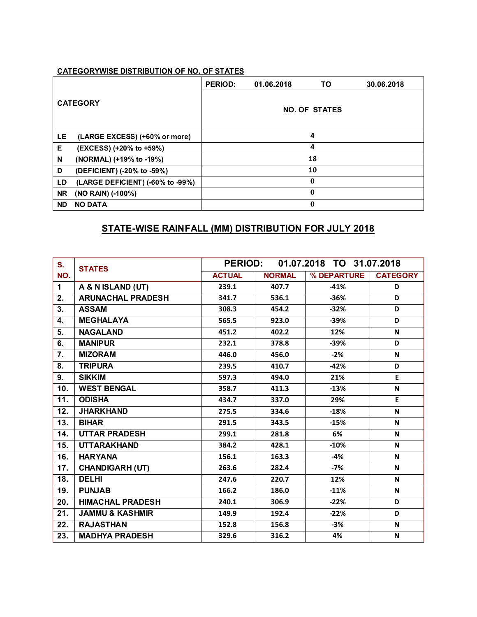| <b>CATEGORY</b> |                                  | <b>PERIOD:</b>       | 01.06.2018 | TO. | 30.06.2018 |  |  |
|-----------------|----------------------------------|----------------------|------------|-----|------------|--|--|
|                 |                                  | <b>NO. OF STATES</b> |            |     |            |  |  |
| LE.             | (LARGE EXCESS) (+60% or more)    | 4                    |            |     |            |  |  |
| Е               | (EXCESS) (+20% to +59%)          | 4                    |            |     |            |  |  |
| N               | (NORMAL) (+19% to -19%)          |                      |            | 18  |            |  |  |
| D               | (DEFICIENT) (-20% to -59%)       |                      |            | 10  |            |  |  |
| LD              | (LARGE DEFICIENT) (-60% to -99%) | 0                    |            |     |            |  |  |
| <b>NR</b>       | (NO RAIN) (-100%)                | 0                    |            |     |            |  |  |
| <b>ND</b>       | <b>NO DATA</b>                   | 0                    |            |     |            |  |  |

## **STATE-WISE RAINFALL (MM) DISTRIBUTION FOR JULY 2018**

| S.          | <b>STATES</b>              | <b>PERIOD:</b> |               | 01.07.2018 TO 31.07.2018 |                 |
|-------------|----------------------------|----------------|---------------|--------------------------|-----------------|
| NO.         |                            | <b>ACTUAL</b>  | <b>NORMAL</b> | % DEPARTURE              | <b>CATEGORY</b> |
| $\mathbf 1$ | A & N ISLAND (UT)          | 239.1          | 407.7         | $-41%$                   | D               |
| 2.          | <b>ARUNACHAL PRADESH</b>   | 341.7          | 536.1         | $-36%$                   | D               |
| 3.          | <b>ASSAM</b>               | 308.3          | 454.2         | $-32%$                   | D               |
| 4.          | <b>MEGHALAYA</b>           | 565.5          | 923.0         | $-39%$                   | D               |
| 5.          | <b>NAGALAND</b>            | 451.2          | 402.2         | 12%                      | N               |
| 6.          | <b>MANIPUR</b>             | 232.1          | 378.8         | $-39%$                   | D               |
| 7.          | <b>MIZORAM</b>             | 446.0          | 456.0         | $-2%$                    | N               |
| 8.          | <b>TRIPURA</b>             | 239.5          | 410.7         | $-42%$                   | D               |
| 9.          | <b>SIKKIM</b>              | 597.3          | 494.0         | 21%                      | E               |
| 10.         | <b>WEST BENGAL</b>         | 358.7          | 411.3         | $-13%$                   | N               |
| 11.         | <b>ODISHA</b>              | 434.7          | 337.0         | 29%                      | E               |
| 12.         | <b>JHARKHAND</b>           | 275.5          | 334.6         | $-18%$                   | N               |
| 13.         | <b>BIHAR</b>               | 291.5          | 343.5         | $-15%$                   | N               |
| 14.         | <b>UTTAR PRADESH</b>       | 299.1          | 281.8         | 6%                       | N               |
| 15.         | <b>UTTARAKHAND</b>         | 384.2          | 428.1         | $-10%$                   | N               |
| 16.         | <b>HARYANA</b>             | 156.1          | 163.3         | $-4%$                    | N               |
| 17.         | <b>CHANDIGARH (UT)</b>     | 263.6          | 282.4         | $-7%$                    | N               |
| 18.         | <b>DELHI</b>               | 247.6          | 220.7         | 12%                      | N               |
| 19.         | <b>PUNJAB</b>              | 166.2          | 186.0         | $-11%$                   | N               |
| 20.         | <b>HIMACHAL PRADESH</b>    | 240.1          | 306.9         | $-22%$                   | D               |
| 21.         | <b>JAMMU &amp; KASHMIR</b> | 149.9          | 192.4         | $-22%$                   | D               |
| 22.         | <b>RAJASTHAN</b>           | 152.8          | 156.8         | $-3%$                    | N               |
| 23.         | <b>MADHYA PRADESH</b>      | 329.6          | 316.2         | 4%                       | N               |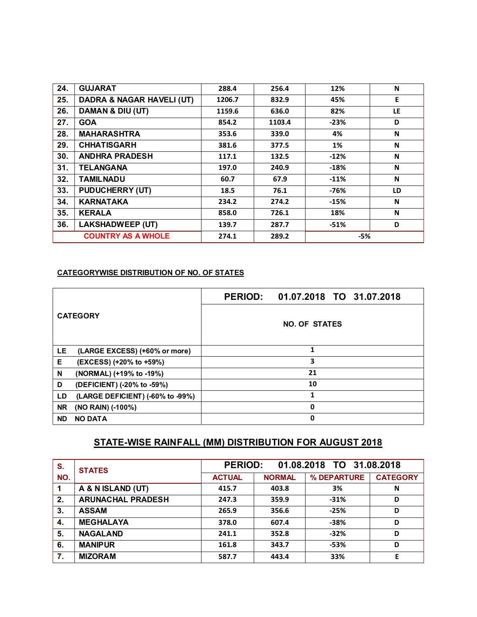| 24. | <b>GUJARAT</b>                       | 288.4  | 256.4  | 12%    | N   |
|-----|--------------------------------------|--------|--------|--------|-----|
| 25. | <b>DADRA &amp; NAGAR HAVELI (UT)</b> | 1206.7 | 832.9  | 45%    | E   |
| 26. | DAMAN & DIU (UT)                     | 1159.6 | 636.0  | 82%    | LE. |
| 27. | <b>GOA</b>                           | 854.2  | 1103.4 | $-23%$ | D   |
| 28. | <b>MAHARASHTRA</b>                   | 353.6  | 339.0  | 4%     | N   |
| 29. | <b>CHHATISGARH</b>                   | 381.6  | 377.5  | 1%     | N   |
| 30. | <b>ANDHRA PRADESH</b>                | 117.1  | 132.5  | $-12%$ | N   |
| 31. | <b>TELANGANA</b>                     | 197.0  | 240.9  | $-18%$ | N   |
| 32. | <b>TAMILNADU</b>                     | 60.7   | 67.9   | $-11%$ | N   |
| 33. | <b>PUDUCHERRY (UT)</b>               | 18.5   | 76.1   | $-76%$ | LD  |
| 34. | <b>KARNATAKA</b>                     | 234.2  | 274.2  | $-15%$ | N   |
| 35. | <b>KERALA</b>                        | 858.0  | 726.1  | 18%    | N   |
| 36. | <b>LAKSHADWEEP (UT)</b>              | 139.7  | 287.7  | $-51%$ | D   |
|     | <b>COUNTRY AS A WHOLE</b>            | 274.1  | 289.2  | $-5%$  |     |

|                                        | PERIOD: 01.07.2018 TO 31.07.2018 |  |  |  |  |  |
|----------------------------------------|----------------------------------|--|--|--|--|--|
| <b>CATEGORY</b>                        | <b>NO. OF STATES</b>             |  |  |  |  |  |
| LE<br>(LARGE EXCESS) (+60% or more)    | 1                                |  |  |  |  |  |
| Е<br>(EXCESS) (+20% to +59%)           | 3                                |  |  |  |  |  |
| N<br>(NORMAL) (+19% to -19%)           | 21                               |  |  |  |  |  |
| D<br>(DEFICIENT) (-20% to -59%)        | 10                               |  |  |  |  |  |
| (LARGE DEFICIENT) (-60% to -99%)<br>LD | 1                                |  |  |  |  |  |
| <b>NR</b><br>(NO RAIN) (-100%)         | 0                                |  |  |  |  |  |
| <b>ND</b><br><b>NO DATA</b>            | 0                                |  |  |  |  |  |

# **STATE-WISE RAINFALL (MM) DISTRIBUTION FOR AUGUST 2018**

| S.  | <b>STATES</b>            | <b>PERIOD:</b><br>01.08.2018 TO 31.08.2018 |               |             |                 |  |
|-----|--------------------------|--------------------------------------------|---------------|-------------|-----------------|--|
| NO. |                          | <b>ACTUAL</b>                              | <b>NORMAL</b> | % DEPARTURE | <b>CATEGORY</b> |  |
|     | A & N ISLAND (UT)        | 415.7                                      | 403.8         | 3%          | N               |  |
| 2.  | <b>ARUNACHAL PRADESH</b> | 247.3                                      | 359.9         | $-31%$      | D               |  |
| 3.  | <b>ASSAM</b>             | 265.9                                      | 356.6         | $-25%$      | D               |  |
| 4.  | <b>MEGHALAYA</b>         | 378.0                                      | 607.4         | $-38%$      | D               |  |
| 5.  | <b>NAGALAND</b>          | 241.1                                      | 352.8         | $-32%$      | D               |  |
| 6.  | <b>MANIPUR</b>           | 161.8                                      | 343.7         | -53%        | D               |  |
| 7.  | <b>MIZORAM</b>           | 587.7                                      | 443.4         | 33%         | Е               |  |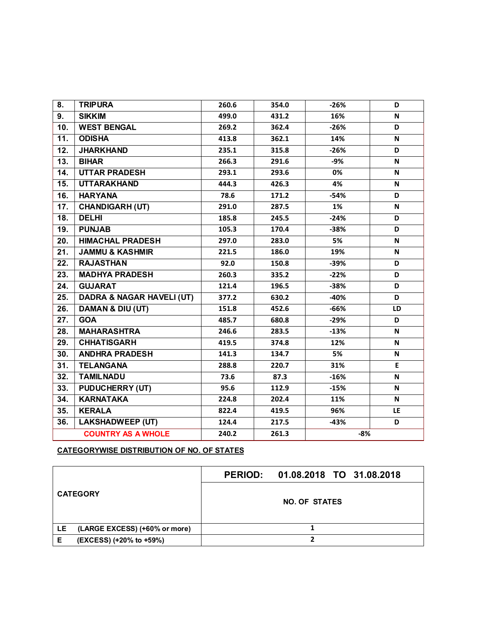| 8.                | <b>TRIPURA</b>                       | 260.6 | 354.0 | $-26%$ | D   |
|-------------------|--------------------------------------|-------|-------|--------|-----|
| 9.                | <b>SIKKIM</b>                        | 499.0 | 431.2 | 16%    | N   |
| 10.               | <b>WEST BENGAL</b>                   | 269.2 | 362.4 | $-26%$ | D   |
| 11.               | <b>ODISHA</b>                        | 413.8 | 362.1 | 14%    | N   |
| 12.               | <b>JHARKHAND</b>                     | 235.1 | 315.8 | $-26%$ | D   |
| 13.               | <b>BIHAR</b>                         | 266.3 | 291.6 | -9%    | N   |
| 14.               | <b>UTTAR PRADESH</b>                 | 293.1 | 293.6 | 0%     | N   |
| 15.               | <b>UTTARAKHAND</b>                   | 444.3 | 426.3 | 4%     | N   |
| 16.               | <b>HARYANA</b>                       | 78.6  | 171.2 | $-54%$ | D   |
| 17.               | <b>CHANDIGARH (UT)</b>               | 291.0 | 287.5 | 1%     | N   |
| 18.               | <b>DELHI</b>                         | 185.8 | 245.5 | $-24%$ | D   |
| 19.               | <b>PUNJAB</b>                        | 105.3 | 170.4 | $-38%$ | D   |
| 20.               | <b>HIMACHAL PRADESH</b>              | 297.0 | 283.0 | 5%     | N   |
| 21.               | <b>JAMMU &amp; KASHMIR</b>           | 221.5 | 186.0 | 19%    | N   |
| 22.               | <b>RAJASTHAN</b>                     | 92.0  | 150.8 | $-39%$ | D   |
| 23.               | <b>MADHYA PRADESH</b>                | 260.3 | 335.2 | $-22%$ | D   |
| 24.               | <b>GUJARAT</b>                       | 121.4 | 196.5 | $-38%$ | D   |
| 25.               | <b>DADRA &amp; NAGAR HAVELI (UT)</b> | 377.2 | 630.2 | $-40%$ | D   |
| 26.               | DAMAN & DIU (UT)                     | 151.8 | 452.6 | $-66%$ | LD  |
| 27.               | <b>GOA</b>                           | 485.7 | 680.8 | $-29%$ | D   |
| 28.               | <b>MAHARASHTRA</b>                   | 246.6 | 283.5 | $-13%$ | N   |
| 29.               | <b>CHHATISGARH</b>                   | 419.5 | 374.8 | 12%    | N   |
| 30.               | <b>ANDHRA PRADESH</b>                | 141.3 | 134.7 | 5%     | N   |
| 31.               | <b>TELANGANA</b>                     | 288.8 | 220.7 | 31%    | E   |
| $\overline{32}$ . | <b>TAMILNADU</b>                     | 73.6  | 87.3  | $-16%$ | N   |
| 33.               | <b>PUDUCHERRY (UT)</b>               | 95.6  | 112.9 | $-15%$ | N   |
| 34.               | <b>KARNATAKA</b>                     | 224.8 | 202.4 | 11%    | N   |
| 35.               | <b>KERALA</b>                        | 822.4 | 419.5 | 96%    | LE. |
| 36.               | <b>LAKSHADWEEP (UT)</b>              | 124.4 | 217.5 | $-43%$ | D   |
|                   | <b>COUNTRY AS A WHOLE</b>            | 240.2 | 261.3 | $-8%$  |     |

| <b>CATEGORY</b> |                               | PERIOD: 01.08.2018 TO 31.08.2018 |  |  |  |
|-----------------|-------------------------------|----------------------------------|--|--|--|
|                 |                               | <b>NO. OF STATES</b>             |  |  |  |
| LE.             | (LARGE EXCESS) (+60% or more) |                                  |  |  |  |
| Е               | (EXCESS) (+20% to +59%)       |                                  |  |  |  |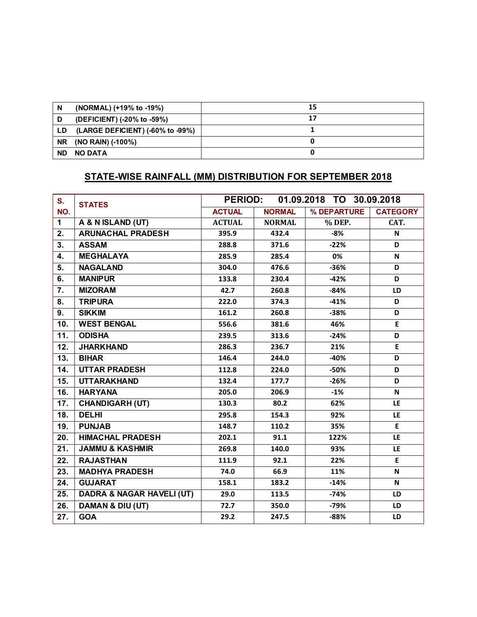| N         | (NORMAL) (+19% to -19%)          | 15 |
|-----------|----------------------------------|----|
| D         | (DEFICIENT) (-20% to -59%)       | 17 |
| LD.       | (LARGE DEFICIENT) (-60% to -99%) |    |
| <b>NR</b> | (NO RAIN) (-100%)                |    |
| <b>ND</b> | NO DATA                          |    |

# **STATE-WISE RAINFALL (MM) DISTRIBUTION FOR SEPTEMBER 2018**

| S.                | <b>STATES</b>                        |               | <b>PERIOD:</b><br>01.09.2018 TO 30.09.2018 |             |                 |  |
|-------------------|--------------------------------------|---------------|--------------------------------------------|-------------|-----------------|--|
| NO.               |                                      | <b>ACTUAL</b> | <b>NORMAL</b>                              | % DEPARTURE | <b>CATEGORY</b> |  |
| $\mathbf{1}$      | A & N ISLAND (UT)                    | <b>ACTUAL</b> | <b>NORMAL</b>                              | % DEP.      | CAT.            |  |
| 2.                | <b>ARUNACHAL PRADESH</b>             | 395.9         | 432.4                                      | $-8%$       | N               |  |
| 3.                | <b>ASSAM</b>                         | 288.8         | 371.6                                      | $-22%$      | D               |  |
| 4.                | <b>MEGHALAYA</b>                     | 285.9         | 285.4                                      | 0%          | N               |  |
| 5.                | <b>NAGALAND</b>                      | 304.0         | 476.6                                      | $-36%$      | D               |  |
| 6.                | <b>MANIPUR</b>                       | 133.8         | 230.4                                      | $-42%$      | D               |  |
| $\overline{7}$ .  | <b>MIZORAM</b>                       | 42.7          | 260.8                                      | $-84%$      | <b>LD</b>       |  |
| 8.                | <b>TRIPURA</b>                       | 222.0         | 374.3                                      | $-41%$      | D               |  |
| 9.                | <b>SIKKIM</b>                        | 161.2         | 260.8                                      | $-38%$      | D               |  |
| 10.               | <b>WEST BENGAL</b>                   | 556.6         | 381.6                                      | 46%         | E               |  |
| $\overline{11}$ . | <b>ODISHA</b>                        | 239.5         | 313.6                                      | $-24%$      | D               |  |
| 12.               | <b>JHARKHAND</b>                     | 286.3         | 236.7                                      | 21%         | E               |  |
| 13.               | <b>BIHAR</b>                         | 146.4         | 244.0                                      | $-40%$      | D               |  |
| 14.               | <b>UTTAR PRADESH</b>                 | 112.8         | 224.0                                      | -50%        | D               |  |
| 15.               | <b>UTTARAKHAND</b>                   | 132.4         | 177.7                                      | $-26%$      | D               |  |
| 16.               | <b>HARYANA</b>                       | 205.0         | 206.9                                      | $-1%$       | N               |  |
| 17.               | <b>CHANDIGARH (UT)</b>               | 130.3         | 80.2                                       | 62%         | LE              |  |
| $\overline{18}$ . | <b>DELHI</b>                         | 295.8         | 154.3                                      | 92%         | <b>LE</b>       |  |
| 19.               | <b>PUNJAB</b>                        | 148.7         | 110.2                                      | 35%         | E.              |  |
| 20.               | <b>HIMACHAL PRADESH</b>              | 202.1         | 91.1                                       | 122%        | <b>LE</b>       |  |
| 21.               | <b>JAMMU &amp; KASHMIR</b>           | 269.8         | 140.0                                      | 93%         | LE.             |  |
| 22.               | <b>RAJASTHAN</b>                     | 111.9         | 92.1                                       | 22%         | E               |  |
| 23.               | <b>MADHYA PRADESH</b>                | 74.0          | 66.9                                       | 11%         | N               |  |
| 24.               | <b>GUJARAT</b>                       | 158.1         | 183.2                                      | $-14%$      | N               |  |
| 25.               | <b>DADRA &amp; NAGAR HAVELI (UT)</b> | 29.0          | 113.5                                      | $-74%$      | LD              |  |
| 26.               | <b>DAMAN &amp; DIU (UT)</b>          | 72.7          | 350.0                                      | $-79%$      | LD              |  |
| 27.               | <b>GOA</b>                           | 29.2          | 247.5                                      | $-88%$      | <b>LD</b>       |  |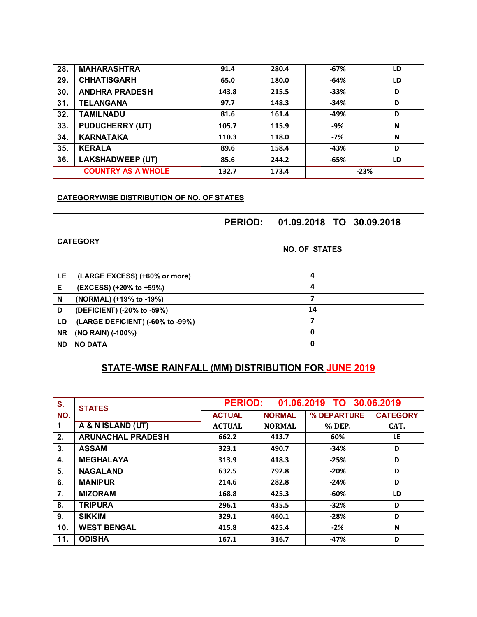| 28.                       | <b>MAHARASHTRA</b>      | 91.4  | 280.4 | $-67%$ | LD |
|---------------------------|-------------------------|-------|-------|--------|----|
| 29.                       | <b>CHHATISGARH</b>      | 65.0  | 180.0 | $-64%$ | LD |
| 30.                       | <b>ANDHRA PRADESH</b>   | 143.8 | 215.5 | $-33%$ | D  |
| 31.                       | <b>TELANGANA</b>        | 97.7  | 148.3 | $-34%$ | D  |
| 32.                       | <b>TAMILNADU</b>        | 81.6  | 161.4 | -49%   | D  |
| 33.                       | <b>PUDUCHERRY (UT)</b>  | 105.7 | 115.9 | $-9%$  | N  |
| 34.                       | <b>KARNATAKA</b>        | 110.3 | 118.0 | $-7%$  | N  |
| 35.                       | <b>KERALA</b>           | 89.6  | 158.4 | -43%   | D  |
| 36.                       | <b>LAKSHADWEEP (UT)</b> | 85.6  | 244.2 | $-65%$ | LD |
| <b>COUNTRY AS A WHOLE</b> |                         | 132.7 | 173.4 | $-23%$ |    |

| <b>CATEGORY</b> |                                  | <b>PERIOD:</b>       | 01.09.2018 TO 30.09.2018 |  |  |  |  |
|-----------------|----------------------------------|----------------------|--------------------------|--|--|--|--|
|                 |                                  | <b>NO. OF STATES</b> |                          |  |  |  |  |
| LE              | (LARGE EXCESS) (+60% or more)    | 4                    |                          |  |  |  |  |
| Е               | (EXCESS) (+20% to +59%)          | 4                    |                          |  |  |  |  |
| N               | (NORMAL) (+19% to -19%)          | 7                    |                          |  |  |  |  |
| D               | (DEFICIENT) (-20% to -59%)       | 14                   |                          |  |  |  |  |
| LD              | (LARGE DEFICIENT) (-60% to -99%) | 7                    |                          |  |  |  |  |
| <b>NR</b>       | (NO RAIN) (-100%)                | 0                    |                          |  |  |  |  |
| <b>ND</b>       | <b>NO DATA</b>                   | 0                    |                          |  |  |  |  |

# **STATE-WISE RAINFALL (MM) DISTRIBUTION FOR JUNE 2019**

| S.  | <b>STATES</b>            | <b>PERIOD:</b><br>01.06.2019 TO 30.06.2019 |               |             |                 |
|-----|--------------------------|--------------------------------------------|---------------|-------------|-----------------|
| NO. |                          | <b>ACTUAL</b>                              | <b>NORMAL</b> | % DEPARTURE | <b>CATEGORY</b> |
| 1   | A & N ISLAND (UT)        | <b>ACTUAL</b>                              | <b>NORMAL</b> | % DEP.      | CAT.            |
| 2.  | <b>ARUNACHAL PRADESH</b> | 662.2                                      | 413.7         | 60%         | LE.             |
| 3.  | <b>ASSAM</b>             | 323.1                                      | 490.7         | $-34%$      | D               |
| 4.  | <b>MEGHALAYA</b>         | 313.9                                      | 418.3         | $-25%$      | D               |
| 5.  | <b>NAGALAND</b>          | 632.5                                      | 792.8         | $-20%$      | D               |
| 6.  | <b>MANIPUR</b>           | 214.6                                      | 282.8         | $-24%$      | D               |
| 7.  | <b>MIZORAM</b>           | 168.8                                      | 425.3         | $-60%$      | LD              |
| 8.  | <b>TRIPURA</b>           | 296.1                                      | 435.5         | $-32%$      | D               |
| 9.  | <b>SIKKIM</b>            | 329.1                                      | 460.1         | $-28%$      | D               |
| 10. | <b>WEST BENGAL</b>       | 415.8                                      | 425.4         | $-2%$       | N               |
| 11. | <b>ODISHA</b>            | 167.1                                      | 316.7         | $-47%$      | D               |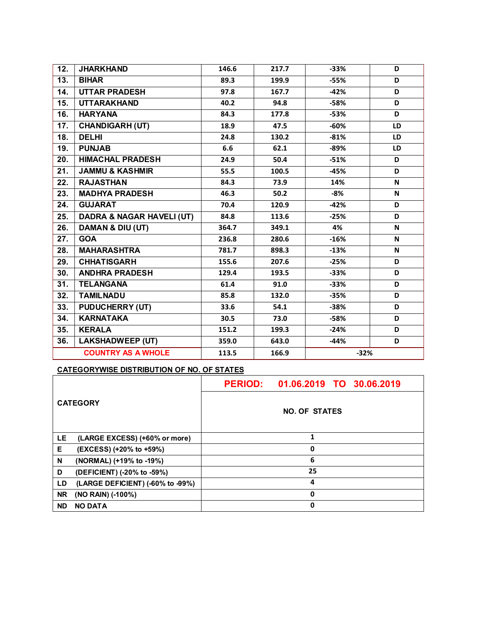| 12. | <b>JHARKHAND</b>                     | 146.6 | 217.7 | $-33%$ | D         |
|-----|--------------------------------------|-------|-------|--------|-----------|
| 13. | <b>BIHAR</b>                         | 89.3  | 199.9 | $-55%$ | D         |
| 14. | <b>UTTAR PRADESH</b>                 | 97.8  | 167.7 | $-42%$ | D         |
| 15. | <b>UTTARAKHAND</b>                   | 40.2  | 94.8  | $-58%$ | D         |
| 16. | <b>HARYANA</b>                       | 84.3  | 177.8 | $-53%$ | D         |
| 17. | <b>CHANDIGARH (UT)</b>               | 18.9  | 47.5  | $-60%$ | <b>LD</b> |
| 18. | <b>DELHI</b>                         | 24.8  | 130.2 | $-81%$ | LD        |
| 19. | <b>PUNJAB</b>                        | 6.6   | 62.1  | $-89%$ | <b>LD</b> |
| 20. | <b>HIMACHAL PRADESH</b>              | 24.9  | 50.4  | $-51%$ | D         |
| 21. | <b>JAMMU &amp; KASHMIR</b>           | 55.5  | 100.5 | $-45%$ | D         |
| 22. | <b>RAJASTHAN</b>                     | 84.3  | 73.9  | 14%    | N         |
| 23. | <b>MADHYA PRADESH</b>                | 46.3  | 50.2  | -8%    | N         |
| 24. | <b>GUJARAT</b>                       | 70.4  | 120.9 | $-42%$ | D         |
| 25. | <b>DADRA &amp; NAGAR HAVELI (UT)</b> | 84.8  | 113.6 | $-25%$ | D         |
| 26. | <b>DAMAN &amp; DIU (UT)</b>          | 364.7 | 349.1 | 4%     | N         |
| 27. | <b>GOA</b>                           | 236.8 | 280.6 | $-16%$ | N         |
| 28. | <b>MAHARASHTRA</b>                   | 781.7 | 898.3 | $-13%$ | N         |
| 29. | <b>CHHATISGARH</b>                   | 155.6 | 207.6 | $-25%$ | D         |
| 30. | <b>ANDHRA PRADESH</b>                | 129.4 | 193.5 | $-33%$ | D         |
| 31. | <b>TELANGANA</b>                     | 61.4  | 91.0  | $-33%$ | D         |
| 32. | <b>TAMILNADU</b>                     | 85.8  | 132.0 | $-35%$ | D         |
| 33. | <b>PUDUCHERRY (UT)</b>               | 33.6  | 54.1  | $-38%$ | D         |
| 34. | <b>KARNATAKA</b>                     | 30.5  | 73.0  | $-58%$ | D         |
| 35. | <b>KERALA</b>                        | 151.2 | 199.3 | $-24%$ | D         |
| 36. | <b>LAKSHADWEEP (UT)</b>              | 359.0 | 643.0 | $-44%$ | D         |
|     | <b>COUNTRY AS A WHOLE</b>            | 113.5 | 166.9 | $-32%$ |           |

| <b>CATEGORY</b> |                                  |                      | PERIOD: 01.06.2019 TO 30.06.2019 |  |  |  |  |
|-----------------|----------------------------------|----------------------|----------------------------------|--|--|--|--|
|                 |                                  | <b>NO. OF STATES</b> |                                  |  |  |  |  |
| LE              | (LARGE EXCESS) (+60% or more)    | 1                    |                                  |  |  |  |  |
| Е               | (EXCESS) (+20% to +59%)          | 0                    |                                  |  |  |  |  |
| N               | (NORMAL) (+19% to -19%)          | 6                    |                                  |  |  |  |  |
| D               | (DEFICIENT) (-20% to -59%)       | 25                   |                                  |  |  |  |  |
| LD              | (LARGE DEFICIENT) (-60% to -99%) | 4                    |                                  |  |  |  |  |
| <b>NR</b>       | (NO RAIN) (-100%)                | 0                    |                                  |  |  |  |  |
| <b>ND</b>       | <b>NO DATA</b>                   | 0                    |                                  |  |  |  |  |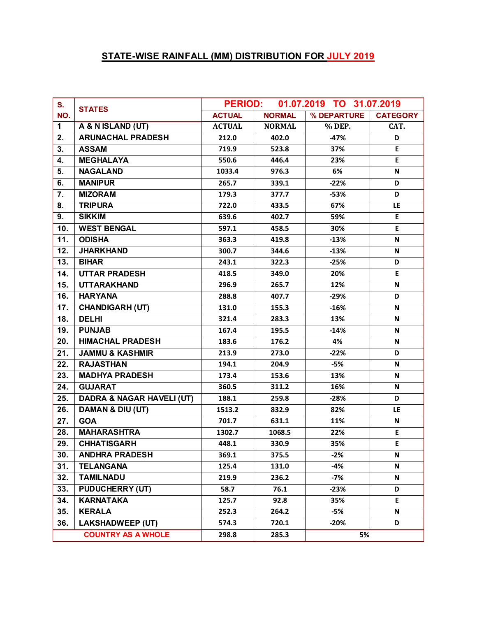# **STATE-WISE RAINFALL (MM) DISTRIBUTION FOR JULY 2019**

| S.           | <b>STATES</b>                        | <b>PERIOD:</b> |               | 01.07.2019 TO 31.07.2019 |                 |
|--------------|--------------------------------------|----------------|---------------|--------------------------|-----------------|
| NO.          |                                      | <b>ACTUAL</b>  | <b>NORMAL</b> | % DEPARTURE              | <b>CATEGORY</b> |
| $\mathbf{1}$ | A & N ISLAND (UT)                    | <b>ACTUAL</b>  | <b>NORMAL</b> | % DEP.                   | CAT.            |
| 2.           | <b>ARUNACHAL PRADESH</b>             | 212.0          | 402.0         | $-47%$                   | D               |
| 3.           | <b>ASSAM</b>                         | 719.9          | 523.8         | 37%                      | E               |
| 4.           | <b>MEGHALAYA</b>                     | 550.6          | 446.4         | 23%                      | E               |
| 5.           | <b>NAGALAND</b>                      | 1033.4         | 976.3         | 6%                       | N               |
| 6.           | <b>MANIPUR</b>                       | 265.7          | 339.1         | $-22%$                   | D               |
| 7.           | <b>MIZORAM</b>                       | 179.3          | 377.7         | $-53%$                   | D               |
| 8.           | <b>TRIPURA</b>                       | 722.0          | 433.5         | 67%                      | LE              |
| 9.           | <b>SIKKIM</b>                        | 639.6          | 402.7         | 59%                      | E               |
| 10.          | <b>WEST BENGAL</b>                   | 597.1          | 458.5         | 30%                      | E               |
| 11.          | <b>ODISHA</b>                        | 363.3          | 419.8         | $-13%$                   | N               |
| 12.          | <b>JHARKHAND</b>                     | 300.7          | 344.6         | $-13%$                   | N               |
| 13.          | <b>BIHAR</b>                         | 243.1          | 322.3         | $-25%$                   | D               |
| 14.          | <b>UTTAR PRADESH</b>                 | 418.5          | 349.0         | 20%                      | E               |
| 15.          | <b>UTTARAKHAND</b>                   | 296.9          | 265.7         | 12%                      | N               |
| 16.          | <b>HARYANA</b>                       | 288.8          | 407.7         | $-29%$                   | D               |
| 17.          | <b>CHANDIGARH (UT)</b>               | 131.0          | 155.3         | $-16%$                   | N               |
| 18.          | <b>DELHI</b>                         | 321.4          | 283.3         | 13%                      | N               |
| 19.          | <b>PUNJAB</b>                        | 167.4          | 195.5         | $-14%$                   | N               |
| 20.          | <b>HIMACHAL PRADESH</b>              | 183.6          | 176.2         | 4%                       | N               |
| 21.          | <b>JAMMU &amp; KASHMIR</b>           | 213.9          | 273.0         | $-22%$                   | D               |
| 22.          | <b>RAJASTHAN</b>                     | 194.1          | 204.9         | $-5%$                    | N               |
| 23.          | <b>MADHYA PRADESH</b>                | 173.4          | 153.6         | 13%                      | N               |
| 24.          | <b>GUJARAT</b>                       | 360.5          | 311.2         | 16%                      | N               |
| 25.          | <b>DADRA &amp; NAGAR HAVELI (UT)</b> | 188.1          | 259.8         | $-28%$                   | D               |
| 26.          | DAMAN & DIU (UT)                     | 1513.2         | 832.9         | 82%                      | LE.             |
| 27.          | <b>GOA</b>                           | 701.7          | 631.1         | 11%                      | N               |
| 28.          | <b>MAHARASHTRA</b>                   | 1302.7         | 1068.5        | 22%                      | E               |
| 29.          | <b>CHHATISGARH</b>                   | 448.1          | 330.9         | 35%                      | E               |
| 30.          | <b>ANDHRA PRADESH</b>                | 369.1          | 375.5         | -2%                      | N.              |
| 31.          | <b>TELANGANA</b>                     | 125.4          | 131.0         | $-4%$                    | N               |
| 32.          | <b>TAMILNADU</b>                     | 219.9          | 236.2         | $-7%$                    | N               |
| 33.          | <b>PUDUCHERRY (UT)</b>               | 58.7           | 76.1          | $-23%$                   | D               |
| 34.          | <b>KARNATAKA</b>                     | 125.7          | 92.8          | 35%                      | E.              |
| 35.          | <b>KERALA</b>                        | 252.3          | 264.2         | -5%                      | Ν               |
| 36.          | <b>LAKSHADWEEP (UT)</b>              | 574.3          | 720.1         | $-20%$                   | D               |
|              | <b>COUNTRY AS A WHOLE</b>            | 298.8          | 285.3         | 5%                       |                 |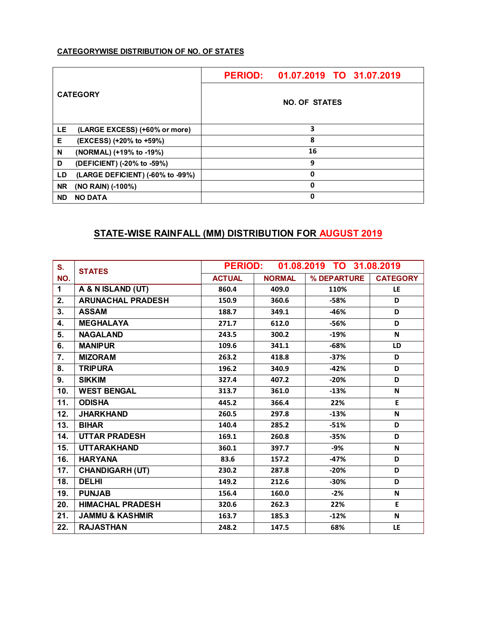| <b>CATEGORY</b> |                                  | PERIOD: 01.07.2019 TO 31.07.2019 |  |  |  |  |
|-----------------|----------------------------------|----------------------------------|--|--|--|--|
|                 |                                  | <b>NO. OF STATES</b>             |  |  |  |  |
| LE              | (LARGE EXCESS) (+60% or more)    | 3                                |  |  |  |  |
| Е               | (EXCESS) (+20% to +59%)          | 8                                |  |  |  |  |
| N               | (NORMAL) (+19% to -19%)          | 16                               |  |  |  |  |
| D               | (DEFICIENT) (-20% to -59%)       | 9                                |  |  |  |  |
| LD              | (LARGE DEFICIENT) (-60% to -99%) | 0                                |  |  |  |  |
| <b>NR</b>       | (NO RAIN) (-100%)                | 0                                |  |  |  |  |
| <b>ND</b>       | <b>NO DATA</b>                   | 0                                |  |  |  |  |

# **STATE-WISE RAINFALL (MM) DISTRIBUTION FOR AUGUST 2019**

| S.           | <b>STATES</b>              | 01.08.2019 TO 31.08.2019<br><b>PERIOD:</b> |               |             |                 |
|--------------|----------------------------|--------------------------------------------|---------------|-------------|-----------------|
| NO.          |                            | <b>ACTUAL</b>                              | <b>NORMAL</b> | % DEPARTURE | <b>CATEGORY</b> |
| $\mathbf{1}$ | A & N ISLAND (UT)          | 860.4                                      | 409.0         | 110%        | <b>LE</b>       |
| 2.           | <b>ARUNACHAL PRADESH</b>   | 150.9                                      | 360.6         | $-58%$      | D               |
| 3.           | <b>ASSAM</b>               | 188.7                                      | 349.1         | $-46%$      | D               |
| 4.           | <b>MEGHALAYA</b>           | 271.7                                      | 612.0         | $-56%$      | D               |
| 5.           | <b>NAGALAND</b>            | 243.5                                      | 300.2         | $-19%$      | N               |
| 6.           | <b>MANIPUR</b>             | 109.6                                      | 341.1         | $-68%$      | LD              |
| 7.           | <b>MIZORAM</b>             | 263.2                                      | 418.8         | $-37%$      | D               |
| 8.           | <b>TRIPURA</b>             | 196.2                                      | 340.9         | $-42%$      | D               |
| 9.           | <b>SIKKIM</b>              | 327.4                                      | 407.2         | $-20%$      | D               |
| 10.          | <b>WEST BENGAL</b>         | 313.7                                      | 361.0         | $-13%$      | N               |
| 11.          | <b>ODISHA</b>              | 445.2                                      | 366.4         | 22%         | E               |
| 12.          | <b>JHARKHAND</b>           | 260.5                                      | 297.8         | $-13%$      | N               |
| 13.          | <b>BIHAR</b>               | 140.4                                      | 285.2         | $-51%$      | D               |
| 14.          | <b>UTTAR PRADESH</b>       | 169.1                                      | 260.8         | $-35%$      | D               |
| 15.          | <b>UTTARAKHAND</b>         | 360.1                                      | 397.7         | -9%         | N               |
| 16.          | <b>HARYANA</b>             | 83.6                                       | 157.2         | $-47%$      | D               |
| 17.          | <b>CHANDIGARH (UT)</b>     | 230.2                                      | 287.8         | $-20%$      | D               |
| 18.          | <b>DELHI</b>               | 149.2                                      | 212.6         | $-30%$      | D               |
| 19.          | <b>PUNJAB</b>              | 156.4                                      | 160.0         | $-2%$       | N               |
| 20.          | <b>HIMACHAL PRADESH</b>    | 320.6                                      | 262.3         | 22%         | E               |
| 21.          | <b>JAMMU &amp; KASHMIR</b> | 163.7                                      | 185.3         | $-12%$      | N               |
| 22.          | <b>RAJASTHAN</b>           | 248.2                                      | 147.5         | 68%         | LE              |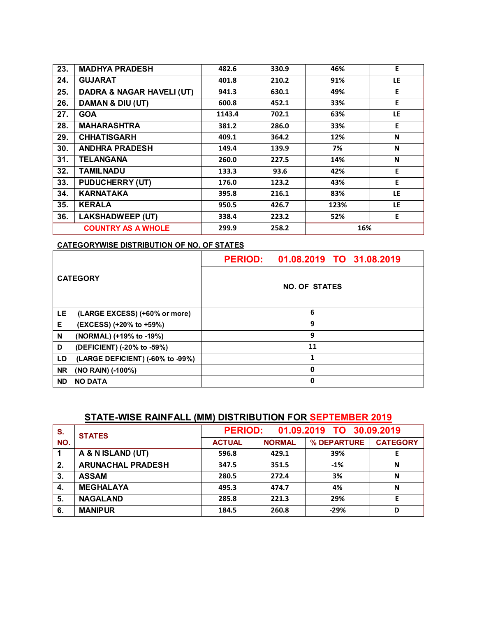| 23.                                         | <b>MADHYA PRADESH</b>                | 482.6  | 330.9 | 46%  | E   |
|---------------------------------------------|--------------------------------------|--------|-------|------|-----|
| 24.                                         | <b>GUJARAT</b>                       | 401.8  | 210.2 | 91%  | LE  |
| 25.                                         | <b>DADRA &amp; NAGAR HAVELI (UT)</b> | 941.3  | 630.1 | 49%  | E   |
| 26.                                         | DAMAN & DIU (UT)                     | 600.8  | 452.1 | 33%  | E   |
| 27.                                         | <b>GOA</b>                           | 1143.4 | 702.1 | 63%  | LE  |
| 28.                                         | <b>MAHARASHTRA</b>                   | 381.2  | 286.0 | 33%  | E   |
| 29.                                         | <b>CHHATISGARH</b>                   | 409.1  | 364.2 | 12%  | N   |
| 30.                                         | <b>ANDHRA PRADESH</b>                | 149.4  | 139.9 | 7%   | N   |
| 31.                                         | <b>TELANGANA</b>                     | 260.0  | 227.5 | 14%  | N   |
| 32.                                         | <b>TAMILNADU</b>                     | 133.3  | 93.6  | 42%  | E   |
| 33.                                         | <b>PUDUCHERRY (UT)</b>               | 176.0  | 123.2 | 43%  | E   |
| 34.                                         | <b>KARNATAKA</b>                     | 395.8  | 216.1 | 83%  | LE. |
| 35.                                         | <b>KERALA</b>                        | 950.5  | 426.7 | 123% | LE  |
| 36.                                         | <b>LAKSHADWEEP (UT)</b>              | 338.4  | 223.2 | 52%  | E   |
| <b>COUNTRY AS A WHOLE</b><br>299.9<br>258.2 |                                      | 16%    |       |      |     |

| <b>CATEGORY</b> |                                  | PERIOD: 01.08.2019 TO 31.08.2019 |  |  |  |  |
|-----------------|----------------------------------|----------------------------------|--|--|--|--|
|                 |                                  | <b>NO. OF STATES</b>             |  |  |  |  |
| LE              | (LARGE EXCESS) (+60% or more)    | 6                                |  |  |  |  |
| Е               | (EXCESS) (+20% to +59%)          | 9                                |  |  |  |  |
| N               | (NORMAL) (+19% to -19%)          | 9                                |  |  |  |  |
| D               | (DEFICIENT) (-20% to -59%)       | 11                               |  |  |  |  |
| LD              | (LARGE DEFICIENT) (-60% to -99%) | 1                                |  |  |  |  |
| <b>NR</b>       | (NO RAIN) (-100%)                | 0                                |  |  |  |  |
| <b>ND</b>       | <b>NO DATA</b>                   | $\mathbf{0}$                     |  |  |  |  |

# **STATE-WISE RAINFALL (MM) DISTRIBUTION FOR SEPTEMBER 2019**

| S.  | <b>STATES</b>            | 01.09.2019 TO 30.09.2019<br><b>PERIOD:</b> |               |             |                 |
|-----|--------------------------|--------------------------------------------|---------------|-------------|-----------------|
| NO. |                          | <b>ACTUAL</b>                              | <b>NORMAL</b> | % DEPARTURE | <b>CATEGORY</b> |
|     | A & N ISLAND (UT)        | 596.8                                      | 429.1         | 39%         |                 |
| 2.  | <b>ARUNACHAL PRADESH</b> | 347.5                                      | 351.5         | $-1%$       | N               |
| 3.  | <b>ASSAM</b>             | 280.5                                      | 272.4         | 3%          | N               |
| 4.  | <b>MEGHALAYA</b>         | 495.3                                      | 474.7         | 4%          | N               |
| 5.  | <b>NAGALAND</b>          | 285.8                                      | 221.3         | 29%         | E               |
| -6. | <b>MANIPUR</b>           | 184.5                                      | 260.8         | $-29%$      | D               |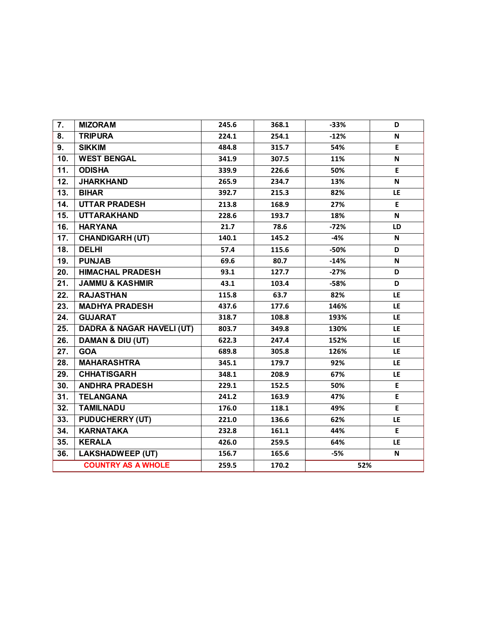| 7.                        | <b>MIZORAM</b>                       | 245.6 | 368.1 | $-33%$ | D           |
|---------------------------|--------------------------------------|-------|-------|--------|-------------|
| 8.                        | <b>TRIPURA</b>                       | 224.1 | 254.1 | $-12%$ | N           |
| 9.                        | <b>SIKKIM</b>                        | 484.8 | 315.7 | 54%    | $\mathsf E$ |
| 10.                       | <b>WEST BENGAL</b>                   | 341.9 | 307.5 | 11%    | N           |
| 11.                       | <b>ODISHA</b>                        | 339.9 | 226.6 | 50%    | E           |
| 12.                       | <b>JHARKHAND</b>                     | 265.9 | 234.7 | 13%    | N           |
| 13.                       | <b>BIHAR</b>                         | 392.7 | 215.3 | 82%    | LE          |
| 14.                       | <b>UTTAR PRADESH</b>                 | 213.8 | 168.9 | 27%    | E           |
| 15.                       | <b>UTTARAKHAND</b>                   | 228.6 | 193.7 | 18%    | N           |
| 16.                       | <b>HARYANA</b>                       | 21.7  | 78.6  | $-72%$ | LD          |
| 17.                       | <b>CHANDIGARH (UT)</b>               | 140.1 | 145.2 | -4%    | N           |
| 18.                       | <b>DELHI</b>                         | 57.4  | 115.6 | $-50%$ | D           |
| 19.                       | <b>PUNJAB</b>                        | 69.6  | 80.7  | $-14%$ | N           |
| 20.                       | <b>HIMACHAL PRADESH</b>              | 93.1  | 127.7 | $-27%$ | D           |
| 21.                       | <b>JAMMU &amp; KASHMIR</b>           | 43.1  | 103.4 | $-58%$ | D           |
| 22.                       | <b>RAJASTHAN</b>                     | 115.8 | 63.7  | 82%    | LE.         |
| 23.                       | <b>MADHYA PRADESH</b>                | 437.6 | 177.6 | 146%   | LE.         |
| 24.                       | <b>GUJARAT</b>                       | 318.7 | 108.8 | 193%   | LE          |
| 25.                       | <b>DADRA &amp; NAGAR HAVELI (UT)</b> | 803.7 | 349.8 | 130%   | <b>LE</b>   |
| 26.                       | DAMAN & DIU (UT)                     | 622.3 | 247.4 | 152%   | <b>LE</b>   |
| 27.                       | <b>GOA</b>                           | 689.8 | 305.8 | 126%   | LE.         |
| 28.                       | <b>MAHARASHTRA</b>                   | 345.1 | 179.7 | 92%    | <b>LE</b>   |
| 29.                       | <b>CHHATISGARH</b>                   | 348.1 | 208.9 | 67%    | LE          |
| 30.                       | <b>ANDHRA PRADESH</b>                | 229.1 | 152.5 | 50%    | E.          |
| 31.                       | <b>TELANGANA</b>                     | 241.2 | 163.9 | 47%    | E           |
| 32.                       | <b>TAMILNADU</b>                     | 176.0 | 118.1 | 49%    | E           |
| 33.                       | <b>PUDUCHERRY (UT)</b>               | 221.0 | 136.6 | 62%    | LE.         |
| 34.                       | <b>KARNATAKA</b>                     | 232.8 | 161.1 | 44%    | E           |
| 35.                       | <b>KERALA</b>                        | 426.0 | 259.5 | 64%    | LE.         |
| 36.                       | <b>LAKSHADWEEP (UT)</b>              | 156.7 | 165.6 | -5%    | N           |
| <b>COUNTRY AS A WHOLE</b> |                                      | 259.5 | 170.2 | 52%    |             |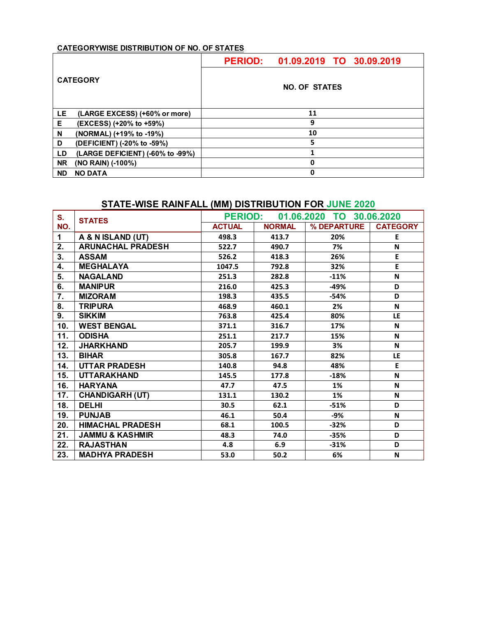| <b>CATEGORY</b> |                                  | PERIOD: 01.09.2019 TO 30.09.2019 |  |  |  |  |  |
|-----------------|----------------------------------|----------------------------------|--|--|--|--|--|
|                 |                                  | <b>NO. OF STATES</b>             |  |  |  |  |  |
| LE              | (LARGE EXCESS) (+60% or more)    | 11                               |  |  |  |  |  |
| Е               | (EXCESS) (+20% to +59%)          | 9                                |  |  |  |  |  |
| N               | (NORMAL) (+19% to -19%)          | 10                               |  |  |  |  |  |
| D               | (DEFICIENT) (-20% to -59%)       | 5                                |  |  |  |  |  |
| LD              | (LARGE DEFICIENT) (-60% to -99%) |                                  |  |  |  |  |  |
| <b>NR</b>       | (NO RAIN) (-100%)                | 0                                |  |  |  |  |  |
| <b>ND</b>       | <b>NO DATA</b>                   | 0                                |  |  |  |  |  |

## **STATE-WISE RAINFALL (MM) DISTRIBUTION FOR JUNE 2020**

| S.  | <b>STATES</b>              | <b>PERIOD:</b> |               | 01.06.2020 TO 30.06.2020 |                 |
|-----|----------------------------|----------------|---------------|--------------------------|-----------------|
| NO. |                            | <b>ACTUAL</b>  | <b>NORMAL</b> | % DEPARTURE              | <b>CATEGORY</b> |
| 1   | A & N ISLAND (UT)          | 498.3          | 413.7         | 20%                      | E               |
| 2.  | <b>ARUNACHAL PRADESH</b>   | 522.7          | 490.7         | 7%                       | N               |
| 3.  | <b>ASSAM</b>               | 526.2          | 418.3         | 26%                      | E               |
| 4.  | <b>MEGHALAYA</b>           | 1047.5         | 792.8         | 32%                      | E               |
| 5.  | <b>NAGALAND</b>            | 251.3          | 282.8         | $-11%$                   | $\mathsf{N}$    |
| 6.  | <b>MANIPUR</b>             | 216.0          | 425.3         | $-49%$                   | D               |
| 7.  | <b>MIZORAM</b>             | 198.3          | 435.5         | $-54%$                   | D               |
| 8.  | <b>TRIPURA</b>             | 468.9          | 460.1         | 2%                       | N               |
| 9.  | <b>SIKKIM</b>              | 763.8          | 425.4         | 80%                      | LE              |
| 10. | <b>WEST BENGAL</b>         | 371.1          | 316.7         | 17%                      | N               |
| 11. | <b>ODISHA</b>              | 251.1          | 217.7         | 15%                      | N               |
| 12. | <b>JHARKHAND</b>           | 205.7          | 199.9         | 3%                       | N               |
| 13. | <b>BIHAR</b>               | 305.8          | 167.7         | 82%                      | LE              |
| 14. | <b>UTTAR PRADESH</b>       | 140.8          | 94.8          | 48%                      | E               |
| 15. | <b>UTTARAKHAND</b>         | 145.5          | 177.8         | $-18%$                   | N               |
| 16. | <b>HARYANA</b>             | 47.7           | 47.5          | 1%                       | N               |
| 17. | <b>CHANDIGARH (UT)</b>     | 131.1          | 130.2         | 1%                       | N               |
| 18. | <b>DELHI</b>               | 30.5           | 62.1          | $-51%$                   | D               |
| 19. | <b>PUNJAB</b>              | 46.1           | 50.4          | -9%                      | N               |
| 20. | <b>HIMACHAL PRADESH</b>    | 68.1           | 100.5         | $-32%$                   | D               |
| 21. | <b>JAMMU &amp; KASHMIR</b> | 48.3           | 74.0          | $-35%$                   | D               |
| 22. | <b>RAJASTHAN</b>           | 4.8            | 6.9           | $-31%$                   | D               |
| 23. | <b>MADHYA PRADESH</b>      | 53.0           | 50.2          | 6%                       | N               |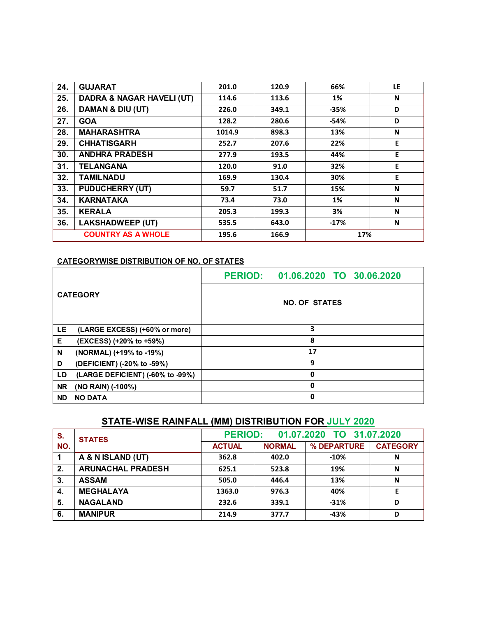| 24. | <b>GUJARAT</b>                       | 201.0  | 120.9 | 66%    | LE. |
|-----|--------------------------------------|--------|-------|--------|-----|
| 25. | <b>DADRA &amp; NAGAR HAVELI (UT)</b> | 114.6  | 113.6 | 1%     | N   |
| 26. | DAMAN & DIU (UT)                     | 226.0  | 349.1 | $-35%$ | D   |
| 27. | <b>GOA</b>                           | 128.2  | 280.6 | $-54%$ | D   |
| 28. | <b>MAHARASHTRA</b>                   | 1014.9 | 898.3 | 13%    | N   |
| 29. | <b>CHHATISGARH</b>                   | 252.7  | 207.6 | 22%    | Е   |
| 30. | <b>ANDHRA PRADESH</b>                | 277.9  | 193.5 | 44%    | E   |
| 31. | <b>TELANGANA</b>                     | 120.0  | 91.0  | 32%    | E   |
| 32. | <b>TAMILNADU</b>                     | 169.9  | 130.4 | 30%    | E   |
| 33. | <b>PUDUCHERRY (UT)</b>               | 59.7   | 51.7  | 15%    | N   |
| 34. | <b>KARNATAKA</b>                     | 73.4   | 73.0  | 1%     | N   |
| 35. | <b>KERALA</b>                        | 205.3  | 199.3 | 3%     | N   |
| 36. | <b>LAKSHADWEEP (UT)</b>              | 535.5  | 643.0 | $-17%$ | N   |
|     | <b>COUNTRY AS A WHOLE</b>            | 195.6  | 166.9 | 17%    |     |

|           |                                  | PERIOD: 01.06.2020 TO 30.06.2020 |
|-----------|----------------------------------|----------------------------------|
|           | <b>CATEGORY</b>                  | <b>NO. OF STATES</b>             |
| LE.       | (LARGE EXCESS) (+60% or more)    | з                                |
| Е         | (EXCESS) (+20% to +59%)          | 8                                |
| N         | (NORMAL) (+19% to -19%)          | 17                               |
| D         | (DEFICIENT) (-20% to -59%)       | 9                                |
| LD        | (LARGE DEFICIENT) (-60% to -99%) | $\mathbf 0$                      |
| <b>NR</b> | (NO RAIN) (-100%)                | $\mathbf 0$                      |
| <b>ND</b> | <b>NO DATA</b>                   | 0                                |

# **STATE-WISE RAINFALL (MM) DISTRIBUTION FOR JULY 2020**

| S.  | <b>STATES</b>            | <b>PERIOD:</b><br>01.07.2020 TO 31.07.2020 |               |             |                 |
|-----|--------------------------|--------------------------------------------|---------------|-------------|-----------------|
| NO. |                          | <b>ACTUAL</b>                              | <b>NORMAL</b> | % DEPARTURE | <b>CATEGORY</b> |
|     | A & N ISLAND (UT)        | 362.8                                      | 402.0         | $-10%$      | N               |
| 2.  | <b>ARUNACHAL PRADESH</b> | 625.1                                      | 523.8         | 19%         | N               |
| 3.  | <b>ASSAM</b>             | 505.0                                      | 446.4         | 13%         | N               |
| 4.  | <b>MEGHALAYA</b>         | 1363.0                                     | 976.3         | 40%         |                 |
| 5.  | <b>NAGALAND</b>          | 232.6                                      | 339.1         | $-31%$      | D               |
| 6.  | <b>MANIPUR</b>           | 214.9                                      | 377.7         | $-43%$      | D               |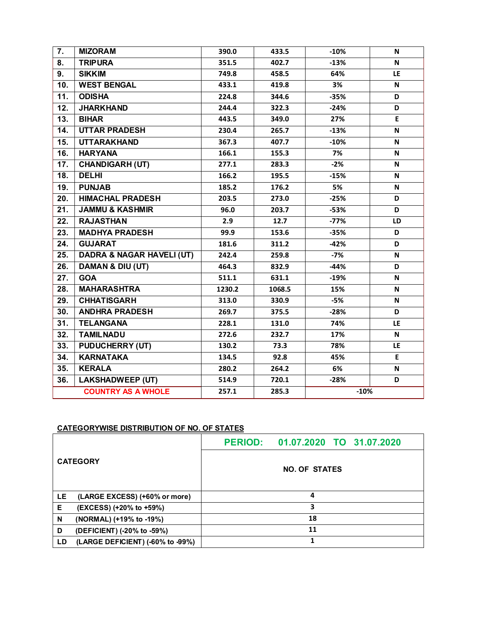| $\overline{7}$ .  | <b>MIZORAM</b>                       | 390.0  | 433.5  | $-10%$ | N                         |
|-------------------|--------------------------------------|--------|--------|--------|---------------------------|
| 8.                | <b>TRIPURA</b>                       | 351.5  | 402.7  | $-13%$ | N                         |
| 9.                | <b>SIKKIM</b>                        | 749.8  | 458.5  | 64%    | LE                        |
| 10.               | <b>WEST BENGAL</b>                   | 433.1  | 419.8  | 3%     | N                         |
| $\overline{11}$ . | <b>ODISHA</b>                        | 224.8  | 344.6  | $-35%$ | D                         |
| 12.               | <b>JHARKHAND</b>                     | 244.4  | 322.3  | $-24%$ | D                         |
| 13.               | <b>BIHAR</b>                         | 443.5  | 349.0  | 27%    | E                         |
| 14.               | <b>UTTAR PRADESH</b>                 | 230.4  | 265.7  | $-13%$ | N                         |
| 15.               | <b>UTTARAKHAND</b>                   | 367.3  | 407.7  | $-10%$ | N                         |
| 16.               | <b>HARYANA</b>                       | 166.1  | 155.3  | 7%     | N                         |
| 17.               | <b>CHANDIGARH (UT)</b>               | 277.1  | 283.3  | $-2%$  | N                         |
| $\overline{18}$ . | <b>DELHI</b>                         | 166.2  | 195.5  | $-15%$ | N                         |
| 19.               | <b>PUNJAB</b>                        | 185.2  | 176.2  | 5%     | N                         |
| 20.               | <b>HIMACHAL PRADESH</b>              | 203.5  | 273.0  | $-25%$ | D                         |
| 21.               | <b>JAMMU &amp; KASHMIR</b>           | 96.0   | 203.7  | $-53%$ | D                         |
| 22.               | <b>RAJASTHAN</b>                     | 2.9    | 12.7   | $-77%$ | LD                        |
| 23.               | <b>MADHYA PRADESH</b>                | 99.9   | 153.6  | $-35%$ | D                         |
| 24.               | <b>GUJARAT</b>                       | 181.6  | 311.2  | $-42%$ | D                         |
| 25.               | <b>DADRA &amp; NAGAR HAVELI (UT)</b> | 242.4  | 259.8  | $-7%$  | N                         |
| 26.               | DAMAN & DIU (UT)                     | 464.3  | 832.9  | $-44%$ | D                         |
| 27.               | <b>GOA</b>                           | 511.1  | 631.1  | $-19%$ | N                         |
| 28.               | <b>MAHARASHTRA</b>                   | 1230.2 | 1068.5 | 15%    | N                         |
| 29.               | <b>CHHATISGARH</b>                   | 313.0  | 330.9  | $-5%$  | $\boldsymbol{\mathsf{N}}$ |
| 30.               | <b>ANDHRA PRADESH</b>                | 269.7  | 375.5  | $-28%$ | D                         |
| 31.               | <b>TELANGANA</b>                     | 228.1  | 131.0  | 74%    | LE                        |
| 32.               | <b>TAMILNADU</b>                     | 272.6  | 232.7  | 17%    | N                         |
| 33.               | <b>PUDUCHERRY (UT)</b>               | 130.2  | 73.3   | 78%    | LE.                       |
| 34.               | <b>KARNATAKA</b>                     | 134.5  | 92.8   | 45%    | E                         |
| 35.               | <b>KERALA</b>                        | 280.2  | 264.2  | 6%     | N                         |
| 36.               | <b>LAKSHADWEEP (UT)</b>              | 514.9  | 720.1  | $-28%$ | D                         |
|                   | <b>COUNTRY AS A WHOLE</b>            | 257.1  | 285.3  | $-10%$ |                           |

|    |                                  | PERIOD: 01.07.2020 TO 31.07.2020 |
|----|----------------------------------|----------------------------------|
|    | <b>CATEGORY</b>                  | <b>NO. OF STATES</b>             |
| LE | (LARGE EXCESS) (+60% or more)    | 4                                |
| Е  | (EXCESS) (+20% to +59%)          | 3                                |
| N  | (NORMAL) (+19% to -19%)          | 18                               |
| D  | (DEFICIENT) (-20% to -59%)       | 11                               |
| LD | (LARGE DEFICIENT) (-60% to -99%) |                                  |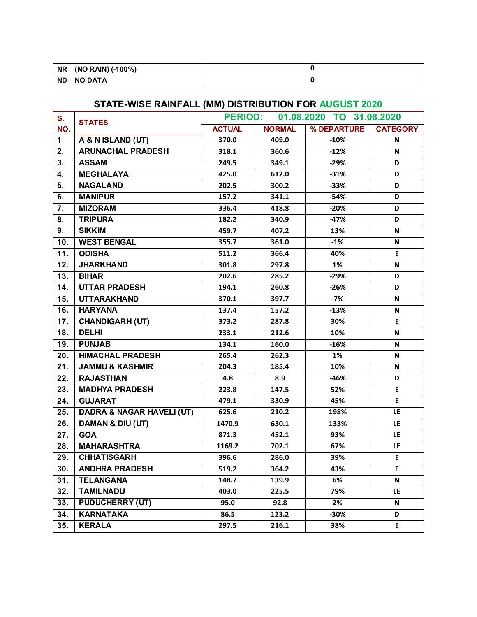| <b>NR</b> | $( -100\%)$<br>(NO RAIN) |  |
|-----------|--------------------------|--|
| <b>ND</b> | <b>NO DATA</b>           |  |

# **STATE-WISE RAINFALL (MM) DISTRIBUTION FOR AUGUST 2020**

| S.  | <b>STATES</b>                        | <b>PERIOD:</b> |               | 01.08.2020 TO 31.08.2020 |                 |
|-----|--------------------------------------|----------------|---------------|--------------------------|-----------------|
| NO. |                                      | <b>ACTUAL</b>  | <b>NORMAL</b> | % DEPARTURE              | <b>CATEGORY</b> |
| 1   | A & N ISLAND (UT)                    | 370.0          | 409.0         | $-10%$                   | N               |
| 2.  | <b>ARUNACHAL PRADESH</b>             | 318.1          | 360.6         | $-12%$                   | N               |
| 3.  | <b>ASSAM</b>                         | 249.5          | 349.1         | $-29%$                   | D               |
| 4.  | <b>MEGHALAYA</b>                     | 425.0          | 612.0         | $-31%$                   | D               |
| 5.  | <b>NAGALAND</b>                      | 202.5          | 300.2         | $-33%$                   | D               |
| 6.  | <b>MANIPUR</b>                       | 157.2          | 341.1         | $-54%$                   | D               |
| 7.  | <b>MIZORAM</b>                       | 336.4          | 418.8         | $-20%$                   | D               |
| 8.  | <b>TRIPURA</b>                       | 182.2          | 340.9         | $-47%$                   | D               |
| 9.  | <b>SIKKIM</b>                        | 459.7          | 407.2         | 13%                      | N               |
| 10. | <b>WEST BENGAL</b>                   | 355.7          | 361.0         | $-1%$                    | N               |
| 11. | <b>ODISHA</b>                        | 511.2          | 366.4         | 40%                      | E               |
| 12. | <b>JHARKHAND</b>                     | 301.8          | 297.8         | 1%                       | N               |
| 13. | <b>BIHAR</b>                         | 202.6          | 285.2         | $-29%$                   | D               |
| 14. | <b>UTTAR PRADESH</b>                 | 194.1          | 260.8         | $-26%$                   | D               |
| 15. | <b>UTTARAKHAND</b>                   | 370.1          | 397.7         | $-7%$                    | N               |
| 16. | <b>HARYANA</b>                       | 137.4          | 157.2         | $-13%$                   | N               |
| 17. | <b>CHANDIGARH (UT)</b>               | 373.2          | 287.8         | 30%                      | E.              |
| 18. | <b>DELHI</b>                         | 233.1          | 212.6         | 10%                      | N               |
| 19. | <b>PUNJAB</b>                        | 134.1          | 160.0         | $-16%$                   | N               |
| 20. | <b>HIMACHAL PRADESH</b>              | 265.4          | 262.3         | 1%                       | N               |
| 21. | <b>JAMMU &amp; KASHMIR</b>           | 204.3          | 185.4         | 10%                      | N               |
| 22. | <b>RAJASTHAN</b>                     | 4.8            | 8.9           | $-46%$                   | D               |
| 23. | <b>MADHYA PRADESH</b>                | 223.8          | 147.5         | 52%                      | E               |
| 24. | <b>GUJARAT</b>                       | 479.1          | 330.9         | 45%                      | E               |
| 25. | <b>DADRA &amp; NAGAR HAVELI (UT)</b> | 625.6          | 210.2         | 198%                     | LE              |
| 26. | <b>DAMAN &amp; DIU (UT)</b>          | 1470.9         | 630.1         | 133%                     | LE.             |
| 27. | <b>GOA</b>                           | 871.3          | 452.1         | 93%                      | <b>LE</b>       |
| 28. | <b>MAHARASHTRA</b>                   | 1169.2         | 702.1         | 67%                      | LE.             |
| 29. | <b>CHHATISGARH</b>                   | 396.6          | 286.0         | 39%                      | E               |
| 30. | <b>ANDHRA PRADESH</b>                | 519.2          | 364.2         | 43%                      | E.              |
| 31. | <b>TELANGANA</b>                     | 148.7          | 139.9         | 6%                       | N               |
| 32. | <b>TAMILNADU</b>                     | 403.0          | 225.5         | 79%                      | LE              |
| 33. | <b>PUDUCHERRY (UT)</b>               | 95.0           | 92.8          | 2%                       | N               |
| 34. | <b>KARNATAKA</b>                     | 86.5           | 123.2         | -30%                     | D               |
| 35. | <b>KERALA</b>                        | 297.5          | 216.1         | 38%                      | E.              |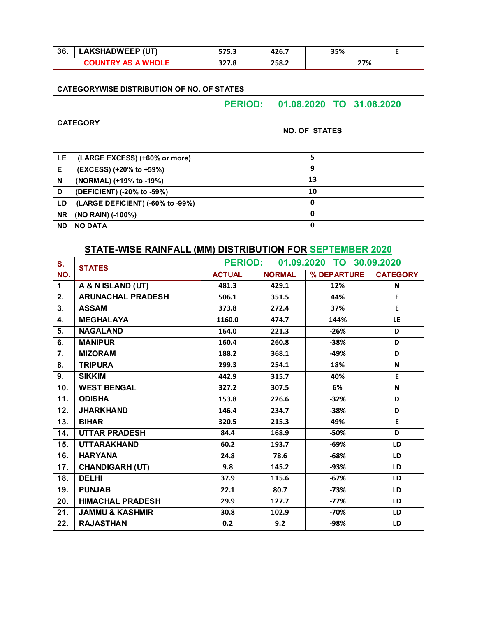| -36.                      | <b>LAKSHADWEEP (UT)</b> | 575.3 | 426.7 | 35% |  |
|---------------------------|-------------------------|-------|-------|-----|--|
| <b>COUNTRY AS A WHOLE</b> |                         | 327.8 | 258.2 | 27% |  |

|                 |                                  | PERIOD: 01.08.2020 TO 31.08.2020 |  |
|-----------------|----------------------------------|----------------------------------|--|
| <b>CATEGORY</b> |                                  | <b>NO. OF STATES</b>             |  |
| LE              | (LARGE EXCESS) (+60% or more)    | 5                                |  |
| Е               | (EXCESS) (+20% to +59%)          | 9                                |  |
| N               | (NORMAL) (+19% to -19%)          | 13                               |  |
| D               | (DEFICIENT) (-20% to -59%)       | 10                               |  |
| LD              | (LARGE DEFICIENT) (-60% to -99%) | 0                                |  |
| <b>NR</b>       | (NO RAIN) (-100%)                | $\mathbf 0$                      |  |
| <b>ND</b>       | <b>NO DATA</b>                   | 0                                |  |

## **STATE-WISE RAINFALL (MM) DISTRIBUTION FOR SEPTEMBER 2020**

| S.  | <b>STATES</b>              | PERIOD: 01.09.2020 TO 30.09.2020 |               |             |                 |
|-----|----------------------------|----------------------------------|---------------|-------------|-----------------|
| NO. |                            | <b>ACTUAL</b>                    | <b>NORMAL</b> | % DEPARTURE | <b>CATEGORY</b> |
| 1   | A & N ISLAND (UT)          | 481.3                            | 429.1         | 12%         | N               |
| 2.  | <b>ARUNACHAL PRADESH</b>   | 506.1                            | 351.5         | 44%         | E               |
| 3.  | <b>ASSAM</b>               | 373.8                            | 272.4         | 37%         | E               |
| 4.  | <b>MEGHALAYA</b>           | 1160.0                           | 474.7         | 144%        | LE              |
| 5.  | <b>NAGALAND</b>            | 164.0                            | 221.3         | $-26%$      | D               |
| 6.  | <b>MANIPUR</b>             | 160.4                            | 260.8         | $-38%$      | D               |
| 7.  | <b>MIZORAM</b>             | 188.2                            | 368.1         | -49%        | D               |
| 8.  | <b>TRIPURA</b>             | 299.3                            | 254.1         | 18%         | N               |
| 9.  | <b>SIKKIM</b>              | 442.9                            | 315.7         | 40%         | E.              |
| 10. | <b>WEST BENGAL</b>         | 327.2                            | 307.5         | 6%          | N               |
| 11. | <b>ODISHA</b>              | 153.8                            | 226.6         | $-32%$      | D               |
| 12. | <b>JHARKHAND</b>           | 146.4                            | 234.7         | $-38%$      | D               |
| 13. | <b>BIHAR</b>               | 320.5                            | 215.3         | 49%         | E               |
| 14. | <b>UTTAR PRADESH</b>       | 84.4                             | 168.9         | -50%        | D               |
| 15. | <b>UTTARAKHAND</b>         | 60.2                             | 193.7         | $-69%$      | <b>LD</b>       |
| 16. | <b>HARYANA</b>             | 24.8                             | 78.6          | $-68%$      | <b>LD</b>       |
| 17. | <b>CHANDIGARH (UT)</b>     | 9.8                              | 145.2         | $-93%$      | LD              |
| 18. | <b>DELHI</b>               | 37.9                             | 115.6         | $-67%$      | LD              |
| 19. | <b>PUNJAB</b>              | 22.1                             | 80.7          | $-73%$      | LD              |
| 20. | <b>HIMACHAL PRADESH</b>    | 29.9                             | 127.7         | $-77%$      | <b>LD</b>       |
| 21. | <b>JAMMU &amp; KASHMIR</b> | 30.8                             | 102.9         | $-70%$      | <b>LD</b>       |
| 22. | <b>RAJASTHAN</b>           | 0.2                              | 9.2           | -98%        | LD              |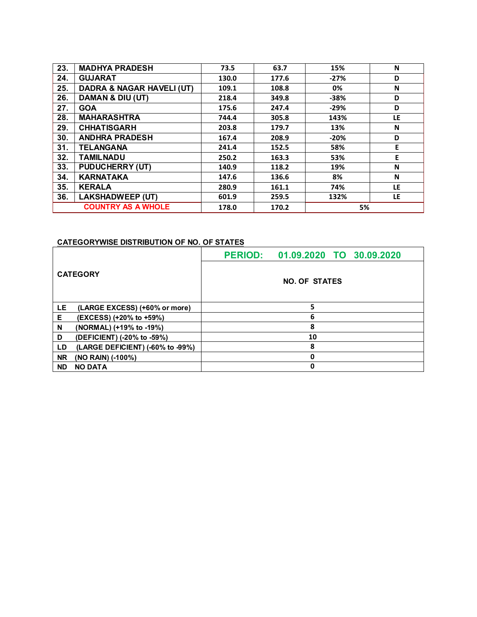| 23. | <b>MADHYA PRADESH</b>                | 73.5  | 63.7  | 15%    | N   |
|-----|--------------------------------------|-------|-------|--------|-----|
| 24. | <b>GUJARAT</b>                       | 130.0 | 177.6 | $-27%$ | D   |
| 25. | <b>DADRA &amp; NAGAR HAVELI (UT)</b> | 109.1 | 108.8 | 0%     | N   |
| 26. | DAMAN & DIU (UT)                     | 218.4 | 349.8 | $-38%$ | D   |
| 27. | <b>GOA</b>                           | 175.6 | 247.4 | $-29%$ | D   |
| 28. | <b>MAHARASHTRA</b>                   | 744.4 | 305.8 | 143%   | LE. |
| 29. | <b>CHHATISGARH</b>                   | 203.8 | 179.7 | 13%    | N   |
| 30. | <b>ANDHRA PRADESH</b>                | 167.4 | 208.9 | $-20%$ | D   |
| 31. | <b>TELANGANA</b>                     | 241.4 | 152.5 | 58%    | E   |
| 32. | <b>TAMILNADU</b>                     | 250.2 | 163.3 | 53%    | E   |
| 33. | <b>PUDUCHERRY (UT)</b>               | 140.9 | 118.2 | 19%    | N   |
| 34. | <b>KARNATAKA</b>                     | 147.6 | 136.6 | 8%     | N   |
| 35. | <b>KERALA</b>                        | 280.9 | 161.1 | 74%    | LE. |
| 36. | <b>LAKSHADWEEP (UT)</b>              | 601.9 | 259.5 | 132%   | LE. |
|     | <b>COUNTRY AS A WHOLE</b>            | 178.0 | 170.2 | 5%     |     |

|           |                                  | PERIOD: 01.09.2020 TO 30.09.2020 |
|-----------|----------------------------------|----------------------------------|
|           | <b>CATEGORY</b>                  | <b>NO. OF STATES</b>             |
| LE        | (LARGE EXCESS) (+60% or more)    | 5                                |
| Е         | (EXCESS) (+20% to +59%)          | 6                                |
| N         | (NORMAL) (+19% to -19%)          | 8                                |
| D         | (DEFICIENT) (-20% to -59%)       | 10                               |
| LD        | (LARGE DEFICIENT) (-60% to -99%) | 8                                |
| <b>NR</b> | (NO RAIN) (-100%)                | 0                                |
| <b>ND</b> | <b>NO DATA</b>                   | 0                                |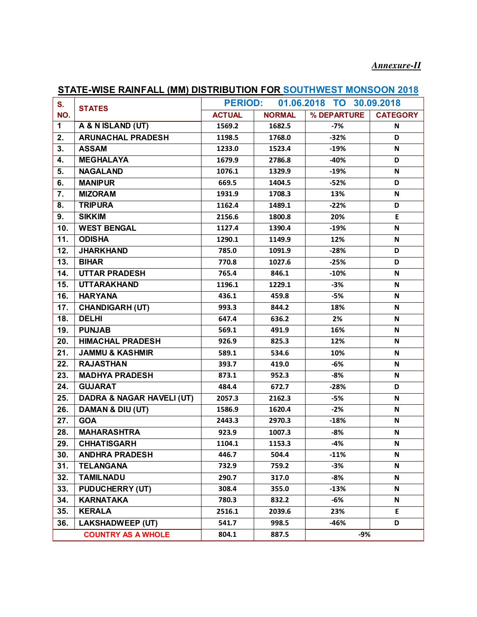# *Annexure-II*

| ,,,,,       | <u>MOL IVAINT ALL (WINT DIGTNIBUTION FOR OCCTIVIL OF MONOCON 2010</u> |                                            |               |             |                 |  |
|-------------|-----------------------------------------------------------------------|--------------------------------------------|---------------|-------------|-----------------|--|
| S.          | <b>STATES</b>                                                         | 01.06.2018 TO 30.09.2018<br><b>PERIOD:</b> |               |             |                 |  |
| NO.         |                                                                       | <b>ACTUAL</b>                              | <b>NORMAL</b> | % DEPARTURE | <b>CATEGORY</b> |  |
| $\mathbf 1$ | A & N ISLAND (UT)                                                     | 1569.2                                     | 1682.5        | $-7%$       | N               |  |
| 2.          | <b>ARUNACHAL PRADESH</b>                                              | 1198.5                                     | 1768.0        | $-32%$      | D               |  |
| 3.          | <b>ASSAM</b>                                                          | 1233.0                                     | 1523.4        | $-19%$      | N               |  |
| 4.          | <b>MEGHALAYA</b>                                                      | 1679.9                                     | 2786.8        | $-40%$      | D               |  |
| 5.          | <b>NAGALAND</b>                                                       | 1076.1                                     | 1329.9        | $-19%$      | N               |  |
| 6.          | <b>MANIPUR</b>                                                        | 669.5                                      | 1404.5        | $-52%$      | D               |  |
| 7.          | <b>MIZORAM</b>                                                        | 1931.9                                     | 1708.3        | 13%         | N               |  |
| 8.          | <b>TRIPURA</b>                                                        | 1162.4                                     | 1489.1        | $-22%$      | D               |  |
| 9.          | <b>SIKKIM</b>                                                         | 2156.6                                     | 1800.8        | 20%         | E               |  |
| 10.         | <b>WEST BENGAL</b>                                                    | 1127.4                                     | 1390.4        | $-19%$      | N               |  |
| 11.         | <b>ODISHA</b>                                                         | 1290.1                                     | 1149.9        | 12%         | N               |  |
| 12.         | <b>JHARKHAND</b>                                                      | 785.0                                      | 1091.9        | $-28%$      | D               |  |
| 13.         | <b>BIHAR</b>                                                          | 770.8                                      | 1027.6        | $-25%$      | D               |  |
| 14.         | <b>UTTAR PRADESH</b>                                                  | 765.4                                      | 846.1         | $-10%$      | N               |  |
| 15.         | <b>UTTARAKHAND</b>                                                    | 1196.1                                     | 1229.1        | $-3%$       | N               |  |
| 16.         | <b>HARYANA</b>                                                        | 436.1                                      | 459.8         | $-5%$       | N               |  |
| 17.         | <b>CHANDIGARH (UT)</b>                                                | 993.3                                      | 844.2         | 18%         | N               |  |
| 18.         | <b>DELHI</b>                                                          | 647.4                                      | 636.2         | 2%          | N               |  |
| 19.         | <b>PUNJAB</b>                                                         | 569.1                                      | 491.9         | 16%         | N               |  |
| 20.         | <b>HIMACHAL PRADESH</b>                                               | 926.9                                      | 825.3         | 12%         | N               |  |
| 21.         | <b>JAMMU &amp; KASHMIR</b>                                            | 589.1                                      | 534.6         | 10%         | N               |  |
| 22.         | <b>RAJASTHAN</b>                                                      | 393.7                                      | 419.0         | $-6%$       | N               |  |
| 23.         | <b>MADHYA PRADESH</b>                                                 | 873.1                                      | 952.3         | $-8%$       | N               |  |
| 24.         | <b>GUJARAT</b>                                                        | 484.4                                      | 672.7         | $-28%$      | D               |  |
| 25.         | <b>DADRA &amp; NAGAR HAVELI (UT)</b>                                  | 2057.3                                     | 2162.3        | $-5%$       | N               |  |
| 26.         | <b>DAMAN &amp; DIU (UT)</b>                                           | 1586.9                                     | 1620.4        | $-2%$       | N               |  |
| 27.         | <b>GOA</b>                                                            | 2443.3                                     | 2970.3        | $-18%$      | N               |  |
| 28.         | <b>MAHARASHTRA</b>                                                    | 923.9                                      | 1007.3        | $-8%$       | N               |  |
| 29.         | <b>CHHATISGARH</b>                                                    | 1104.1                                     | 1153.3        | -4%         | N               |  |
| 30.         | <b>ANDHRA PRADESH</b>                                                 | 446.7                                      | 504.4         | $-11%$      | N               |  |
| 31.         | <b>TELANGANA</b>                                                      | 732.9                                      | 759.2         | -3%         | N               |  |
| 32.         | <b>TAMILNADU</b>                                                      | 290.7                                      | 317.0         | $-8%$       | N               |  |
| 33.         | <b>PUDUCHERRY (UT)</b>                                                | 308.4                                      | 355.0         | $-13%$      | N               |  |
| 34.         | <b>KARNATAKA</b>                                                      | 780.3                                      | 832.2         | -6%         | N               |  |
| 35.         | <b>KERALA</b>                                                         | 2516.1                                     | 2039.6        | 23%         | E.              |  |
| 36.         | <b>LAKSHADWEEP (UT)</b>                                               | 541.7                                      | 998.5         | -46%        | D               |  |
|             | <b>COUNTRY AS A WHOLE</b>                                             | 804.1                                      | 887.5         | -9%         |                 |  |

## **STATE-WISE RAINFALL (MM) DISTRIBUTION FOR SOUTHWEST MONSOON 2018**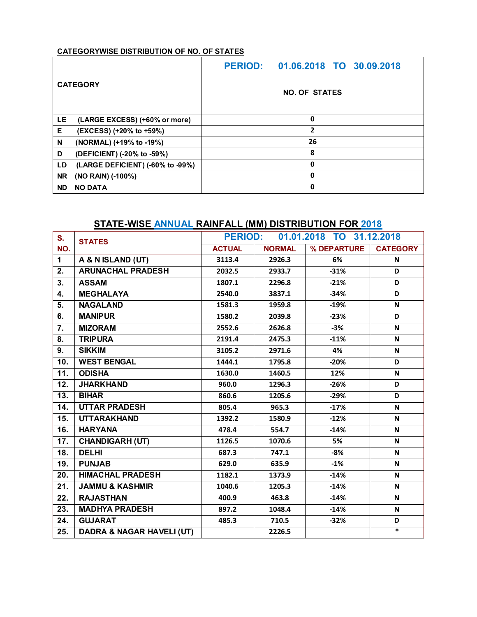| <b>CATEGORY</b> |                                  | PERIOD: 01.06.2018 TO 30.09.2018 |  |  |  |  |  |
|-----------------|----------------------------------|----------------------------------|--|--|--|--|--|
|                 |                                  | <b>NO. OF STATES</b>             |  |  |  |  |  |
| LE              | (LARGE EXCESS) (+60% or more)    | 0                                |  |  |  |  |  |
| Е               | (EXCESS) (+20% to +59%)          | 2                                |  |  |  |  |  |
| N               | (NORMAL) (+19% to -19%)          | 26                               |  |  |  |  |  |
| D               | (DEFICIENT) (-20% to -59%)       | 8                                |  |  |  |  |  |
| LD              | (LARGE DEFICIENT) (-60% to -99%) | 0                                |  |  |  |  |  |
| <b>NR</b>       | (NO RAIN) (-100%)                | 0                                |  |  |  |  |  |
| <b>ND</b>       | <b>NO DATA</b>                   | 0                                |  |  |  |  |  |

## **STATE-WISE ANNUAL RAINFALL (MM) DISTRIBUTION FOR 2018**

| S.          | <b>STATES</b>                        | 01.01.2018 TO 31.12.2018<br><b>PERIOD:</b> |               |             |                 |  |
|-------------|--------------------------------------|--------------------------------------------|---------------|-------------|-----------------|--|
| NO.         |                                      | <b>ACTUAL</b>                              | <b>NORMAL</b> | % DEPARTURE | <b>CATEGORY</b> |  |
| $\mathbf 1$ | A & N ISLAND (UT)                    | 3113.4                                     | 2926.3        | 6%          | N               |  |
| 2.          | <b>ARUNACHAL PRADESH</b>             | 2032.5                                     | 2933.7        | $-31%$      | D               |  |
| 3.          | <b>ASSAM</b>                         | 1807.1                                     | 2296.8        | $-21%$      | D               |  |
| 4.          | <b>MEGHALAYA</b>                     | 2540.0                                     | 3837.1        | $-34%$      | D               |  |
| 5.          | <b>NAGALAND</b>                      | 1581.3                                     | 1959.8        | $-19%$      | N               |  |
| 6.          | <b>MANIPUR</b>                       | 1580.2                                     | 2039.8        | $-23%$      | D               |  |
| 7.          | <b>MIZORAM</b>                       | 2552.6                                     | 2626.8        | $-3%$       | N               |  |
| 8.          | <b>TRIPURA</b>                       | 2191.4                                     | 2475.3        | $-11%$      | N               |  |
| 9.          | <b>SIKKIM</b>                        | 3105.2                                     | 2971.6        | 4%          | N               |  |
| 10.         | <b>WEST BENGAL</b>                   | 1444.1                                     | 1795.8        | $-20%$      | D               |  |
| 11.         | <b>ODISHA</b>                        | 1630.0                                     | 1460.5        | 12%         | N               |  |
| 12.         | <b>JHARKHAND</b>                     | 960.0                                      | 1296.3        | $-26%$      | D               |  |
| 13.         | <b>BIHAR</b>                         | 860.6                                      | 1205.6        | $-29%$      | D               |  |
| 14.         | <b>UTTAR PRADESH</b>                 | 805.4                                      | 965.3         | $-17%$      | N               |  |
| 15.         | <b>UTTARAKHAND</b>                   | 1392.2                                     | 1580.9        | $-12%$      | N               |  |
| 16.         | <b>HARYANA</b>                       | 478.4                                      | 554.7         | $-14%$      | N               |  |
| 17.         | <b>CHANDIGARH (UT)</b>               | 1126.5                                     | 1070.6        | 5%          | N               |  |
| 18.         | <b>DELHI</b>                         | 687.3                                      | 747.1         | $-8%$       | N               |  |
| 19.         | <b>PUNJAB</b>                        | 629.0                                      | 635.9         | $-1%$       | N               |  |
| 20.         | <b>HIMACHAL PRADESH</b>              | 1182.1                                     | 1373.9        | $-14%$      | N               |  |
| 21.         | <b>JAMMU &amp; KASHMIR</b>           | 1040.6                                     | 1205.3        | $-14%$      | N               |  |
| 22.         | <b>RAJASTHAN</b>                     | 400.9                                      | 463.8         | $-14%$      | N               |  |
| 23.         | <b>MADHYA PRADESH</b>                | 897.2                                      | 1048.4        | $-14%$      | N               |  |
| 24.         | <b>GUJARAT</b>                       | 485.3                                      | 710.5         | $-32%$      | D               |  |
| 25.         | <b>DADRA &amp; NAGAR HAVELI (UT)</b> |                                            | 2226.5        |             | $\ast$          |  |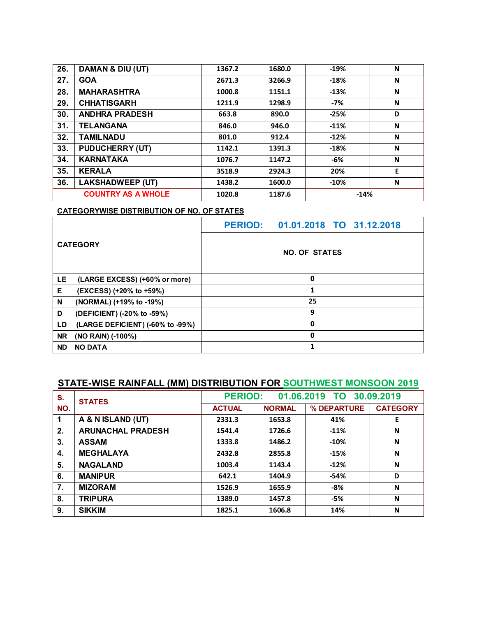| 26. | DAMAN & DIU (UT)          | 1367.2 | 1680.0 | $-19%$ | N |
|-----|---------------------------|--------|--------|--------|---|
| 27. | <b>GOA</b>                | 2671.3 | 3266.9 | $-18%$ | N |
| 28. | <b>MAHARASHTRA</b>        | 1000.8 | 1151.1 | $-13%$ | N |
| 29. | <b>CHHATISGARH</b>        | 1211.9 | 1298.9 | $-7%$  | N |
| 30. | <b>ANDHRA PRADESH</b>     | 663.8  | 890.0  | $-25%$ | D |
| 31. | <b>TELANGANA</b>          | 846.0  | 946.0  | $-11%$ | N |
| 32. | <b>TAMILNADU</b>          | 801.0  | 912.4  | $-12%$ | N |
| 33. | <b>PUDUCHERRY (UT)</b>    | 1142.1 | 1391.3 | $-18%$ | N |
| 34. | <b>KARNATAKA</b>          | 1076.7 | 1147.2 | -6%    | N |
| 35. | <b>KERALA</b>             | 3518.9 | 2924.3 | 20%    | E |
| 36. | <b>LAKSHADWEEP (UT)</b>   | 1438.2 | 1600.0 | $-10%$ | N |
|     | <b>COUNTRY AS A WHOLE</b> | 1020.8 | 1187.6 | $-14%$ |   |

| <b>CATEGORY</b>             |                                  |                      | PERIOD: 01.01.2018 TO 31.12.2018 |  |  |  |  |
|-----------------------------|----------------------------------|----------------------|----------------------------------|--|--|--|--|
|                             |                                  | <b>NO. OF STATES</b> |                                  |  |  |  |  |
| LE                          | (LARGE EXCESS) (+60% or more)    | 0                    |                                  |  |  |  |  |
| Е                           | (EXCESS) (+20% to +59%)          | 1                    |                                  |  |  |  |  |
| N                           | (NORMAL) (+19% to -19%)          | 25                   |                                  |  |  |  |  |
| D                           | (DEFICIENT) (-20% to -59%)       | 9                    |                                  |  |  |  |  |
| LD                          | (LARGE DEFICIENT) (-60% to -99%) | 0                    |                                  |  |  |  |  |
| <b>NR</b>                   | (NO RAIN) (-100%)                | 0                    |                                  |  |  |  |  |
| <b>ND</b><br><b>NO DATA</b> |                                  |                      |                                  |  |  |  |  |

# **STATE-WISE RAINFALL (MM) DISTRIBUTION FOR SOUTHWEST MONSOON 2019**

| S.          | <b>STATES</b>            | <b>PERIOD:</b><br>01.06.2019 TO 30.09.2019 |               |             |                 |
|-------------|--------------------------|--------------------------------------------|---------------|-------------|-----------------|
| NO.         |                          | <b>ACTUAL</b>                              | <b>NORMAL</b> | % DEPARTURE | <b>CATEGORY</b> |
| $\mathbf 1$ | A & N ISLAND (UT)        | 2331.3                                     | 1653.8        | 41%         | Ε               |
| 2.          | <b>ARUNACHAL PRADESH</b> | 1541.4                                     | 1726.6        | $-11%$      | N               |
| 3.          | <b>ASSAM</b>             | 1333.8                                     | 1486.2        | $-10%$      | N               |
| 4.          | <b>MEGHALAYA</b>         | 2432.8                                     | 2855.8        | $-15%$      | N               |
| 5.          | <b>NAGALAND</b>          | 1003.4                                     | 1143.4        | $-12%$      | N               |
| 6.          | <b>MANIPUR</b>           | 642.1                                      | 1404.9        | -54%        | D               |
| 7.          | <b>MIZORAM</b>           | 1526.9                                     | 1655.9        | $-8%$       | N               |
| 8.          | <b>TRIPURA</b>           | 1389.0                                     | 1457.8        | -5%         | N               |
| 9.          | <b>SIKKIM</b>            | 1825.1                                     | 1606.8        | 14%         | N               |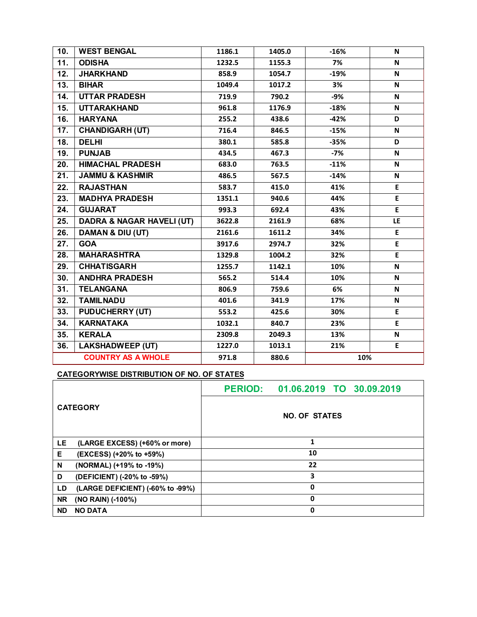| 10. | <b>WEST BENGAL</b>                   | 1186.1                | 1405.0 | $-16%$ | N   |
|-----|--------------------------------------|-----------------------|--------|--------|-----|
| 11. | <b>ODISHA</b>                        | 1232.5                | 1155.3 | 7%     | N   |
| 12. | <b>JHARKHAND</b>                     | 858.9                 | 1054.7 | $-19%$ | N   |
| 13. | <b>BIHAR</b>                         | 1049.4                | 1017.2 | 3%     | N   |
| 14. | <b>UTTAR PRADESH</b>                 | 719.9                 | 790.2  | -9%    | N   |
| 15. | <b>UTTARAKHAND</b>                   | 961.8                 | 1176.9 | $-18%$ | N   |
| 16. | <b>HARYANA</b>                       | 255.2                 | 438.6  | $-42%$ | D   |
| 17. | <b>CHANDIGARH (UT)</b>               | 716.4                 | 846.5  | $-15%$ | N   |
| 18. | <b>DELHI</b>                         | 380.1                 | 585.8  | $-35%$ | D   |
| 19. | <b>PUNJAB</b>                        | 434.5                 | 467.3  | -7%    | N   |
| 20. | <b>HIMACHAL PRADESH</b>              | 683.0                 | 763.5  | $-11%$ | N   |
| 21. | <b>JAMMU &amp; KASHMIR</b>           | 486.5                 | 567.5  | $-14%$ | N   |
| 22. | <b>RAJASTHAN</b>                     | 583.7                 | 415.0  | 41%    | E   |
| 23. | <b>MADHYA PRADESH</b>                | 1351.1                | 940.6  | 44%    | E.  |
| 24. | <b>GUJARAT</b>                       | 993.3                 | 692.4  | 43%    | E   |
| 25. | <b>DADRA &amp; NAGAR HAVELI (UT)</b> | 3622.8                | 2161.9 | 68%    | LE. |
| 26. | <b>DAMAN &amp; DIU (UT)</b>          | 2161.6                | 1611.2 | 34%    | E.  |
| 27. | <b>GOA</b>                           | 3917.6                | 2974.7 | 32%    | E   |
| 28. | <b>MAHARASHTRA</b>                   | 1329.8                | 1004.2 | 32%    | E   |
| 29. | <b>CHHATISGARH</b>                   | 1255.7                | 1142.1 | 10%    | N   |
| 30. | <b>ANDHRA PRADESH</b>                | 565.2                 | 514.4  | 10%    | N   |
| 31. | <b>TELANGANA</b>                     | 806.9                 | 759.6  | 6%     | N   |
| 32. | <b>TAMILNADU</b>                     | 401.6                 | 341.9  | 17%    | N   |
| 33. | <b>PUDUCHERRY (UT)</b>               | 553.2                 | 425.6  | 30%    | E   |
| 34. | <b>KARNATAKA</b>                     | 1032.1                | 840.7  | 23%    | E   |
| 35. | <b>KERALA</b>                        | 2309.8                | 2049.3 | 13%    | N   |
| 36. | <b>LAKSHADWEEP (UT)</b>              | 1227.0                | 1013.1 | 21%    | E   |
|     | <b>COUNTRY AS A WHOLE</b>            | 971.8<br>10%<br>880.6 |        |        |     |

| <b>CATEGORY</b>                |                                  | <b>PERIOD:</b>       | 01.06.2019 TO 30.09.2019 |  |  |  |  |
|--------------------------------|----------------------------------|----------------------|--------------------------|--|--|--|--|
|                                |                                  | <b>NO. OF STATES</b> |                          |  |  |  |  |
| LE                             | (LARGE EXCESS) (+60% or more)    | 1                    |                          |  |  |  |  |
| Е                              | (EXCESS) (+20% to +59%)          | 10                   |                          |  |  |  |  |
| N                              | (NORMAL) (+19% to -19%)          | 22                   |                          |  |  |  |  |
| D                              | (DEFICIENT) (-20% to -59%)       | 3                    |                          |  |  |  |  |
| LD                             | (LARGE DEFICIENT) (-60% to -99%) | 0                    |                          |  |  |  |  |
| <b>NR</b><br>(NO RAIN) (-100%) |                                  | 0                    |                          |  |  |  |  |
| <b>NO DATA</b><br><b>ND</b>    |                                  | 0                    |                          |  |  |  |  |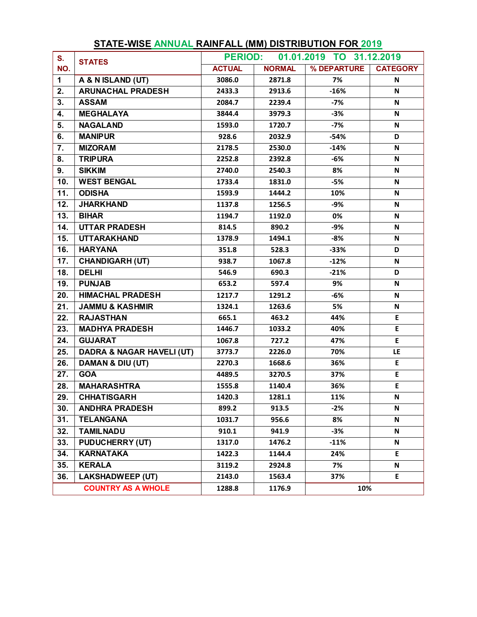| S.                | <b>STATES</b>                        | 01.01.2019 TO 31.12.2019<br><b>PERIOD:</b> |               |             |                 |
|-------------------|--------------------------------------|--------------------------------------------|---------------|-------------|-----------------|
| NO.               |                                      | <b>ACTUAL</b>                              | <b>NORMAL</b> | % DEPARTURE | <b>CATEGORY</b> |
| $\mathbf{1}$      | A & N ISLAND (UT)                    | 3086.0                                     | 2871.8        | 7%          | N               |
| 2.                | <b>ARUNACHAL PRADESH</b>             | 2433.3                                     | 2913.6        | $-16%$      | N               |
| 3.                | <b>ASSAM</b>                         | 2084.7                                     | 2239.4        | $-7%$       | N               |
| 4.                | <b>MEGHALAYA</b>                     | 3844.4                                     | 3979.3        | $-3%$       | N               |
| 5.                | <b>NAGALAND</b>                      | 1593.0                                     | 1720.7        | $-7%$       | N               |
| 6.                | <b>MANIPUR</b>                       | 928.6                                      | 2032.9        | $-54%$      | D               |
| 7.                | <b>MIZORAM</b>                       | 2178.5                                     | 2530.0        | $-14%$      | N               |
| 8.                | <b>TRIPURA</b>                       | 2252.8                                     | 2392.8        | $-6%$       | N               |
| 9.                | <b>SIKKIM</b>                        | 2740.0                                     | 2540.3        | 8%          | N               |
| 10.               | <b>WEST BENGAL</b>                   | 1733.4                                     | 1831.0        | $-5%$       | N               |
| 11.               | <b>ODISHA</b>                        | 1593.9                                     | 1444.2        | 10%         | N               |
| 12.               | <b>JHARKHAND</b>                     | 1137.8                                     | 1256.5        | -9%         | N               |
| 13.               | <b>BIHAR</b>                         | 1194.7                                     | 1192.0        | 0%          | N               |
| 14.               | <b>UTTAR PRADESH</b>                 | 814.5                                      | 890.2         | $-9%$       | N               |
| 15.               | <b>UTTARAKHAND</b>                   | 1378.9                                     | 1494.1        | $-8%$       | N               |
| 16.               | <b>HARYANA</b>                       | 351.8                                      | 528.3         | $-33%$      | D               |
| 17.               | <b>CHANDIGARH (UT)</b>               | 938.7                                      | 1067.8        | $-12%$      | N               |
| 18.               | <b>DELHI</b>                         | 546.9                                      | 690.3         | $-21%$      | D               |
| 19.               | <b>PUNJAB</b>                        | 653.2                                      | 597.4         | 9%          | N               |
| $\overline{20}$ . | <b>HIMACHAL PRADESH</b>              | 1217.7                                     | 1291.2        | $-6%$       | N               |
| 21.               | <b>JAMMU &amp; KASHMIR</b>           | 1324.1                                     | 1263.6        | 5%          | N               |
| 22.               | <b>RAJASTHAN</b>                     | 665.1                                      | 463.2         | 44%         | E               |
| 23.               | <b>MADHYA PRADESH</b>                | 1446.7                                     | 1033.2        | 40%         | E               |
| 24.               | <b>GUJARAT</b>                       | 1067.8                                     | 727.2         | 47%         | E               |
| 25.               | <b>DADRA &amp; NAGAR HAVELI (UT)</b> | 3773.7                                     | 2226.0        | 70%         | LE              |
| 26.               | DAMAN & DIU (UT)                     | 2270.3                                     | 1668.6        | 36%         | E               |
| 27.               | <b>GOA</b>                           | 4489.5                                     | 3270.5        | 37%         | E.              |
| 28.               | <b>MAHARASHTRA</b>                   | 1555.8                                     | 1140.4        | 36%         | E               |
| 29.               | <b>CHHATISGARH</b>                   | 1420.3                                     | 1281.1        | 11%         | N               |
| 30.               | <b>ANDHRA PRADESH</b>                | 899.2                                      | 913.5         | $-2%$       | N               |
| 31.               | <b>TELANGANA</b>                     | 1031.7                                     | 956.6         | 8%          | N               |
| 32.               | <b>TAMILNADU</b>                     | 910.1                                      | 941.9         | $-3%$       | N               |
| 33.               | <b>PUDUCHERRY (UT)</b>               | 1317.0                                     | 1476.2        | $-11%$      | N               |
| 34.               | <b>KARNATAKA</b>                     | 1422.3                                     | 1144.4        | 24%         | E.              |
| 35.               | <b>KERALA</b>                        | 3119.2                                     | 2924.8        | 7%          | N               |
| 36.               | <b>LAKSHADWEEP (UT)</b>              | 2143.0                                     | 1563.4        | 37%         | E               |
|                   | <b>COUNTRY AS A WHOLE</b>            | 1288.8                                     | 1176.9        | 10%         |                 |

# **STATE-WISE ANNUAL RAINFALL (MM) DISTRIBUTION FOR 2019**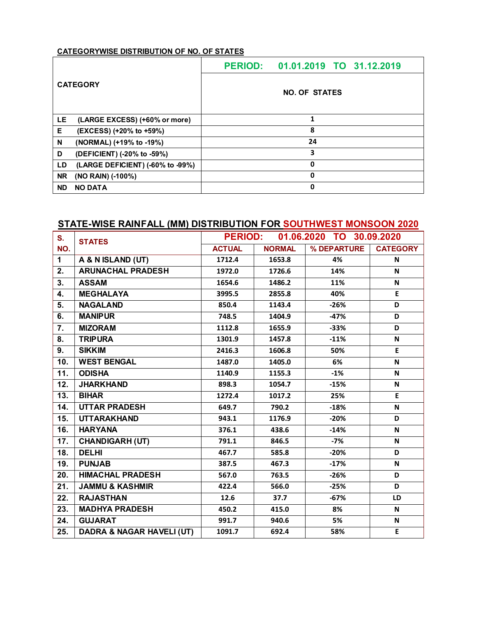|                                        | PERIOD: 01.01.2019 TO 31.12.2019 |  |  |  |  |  |
|----------------------------------------|----------------------------------|--|--|--|--|--|
| <b>CATEGORY</b>                        | <b>NO. OF STATES</b>             |  |  |  |  |  |
| LE<br>(LARGE EXCESS) (+60% or more)    | 1                                |  |  |  |  |  |
| Е<br>(EXCESS) (+20% to +59%)           | 8                                |  |  |  |  |  |
| N<br>(NORMAL) (+19% to -19%)           | 24                               |  |  |  |  |  |
| D<br>(DEFICIENT) (-20% to -59%)        | 3                                |  |  |  |  |  |
| (LARGE DEFICIENT) (-60% to -99%)<br>LD | 0                                |  |  |  |  |  |
| <b>NR</b><br>(NO RAIN) (-100%)         | 0                                |  |  |  |  |  |
| <b>ND</b><br><b>NO DATA</b>            | 0                                |  |  |  |  |  |

## **STATE-WISE RAINFALL (MM) DISTRIBUTION FOR SOUTHWEST MONSOON 2020**

| S.          | <b>STATES</b>                        | <b>PERIOD:</b> |               | 01.06.2020 TO 30.09.2020 |                 |
|-------------|--------------------------------------|----------------|---------------|--------------------------|-----------------|
| NO.         |                                      | <b>ACTUAL</b>  | <b>NORMAL</b> | % DEPARTURE              | <b>CATEGORY</b> |
| $\mathbf 1$ | A & N ISLAND (UT)                    | 1712.4         | 1653.8        | 4%                       | N               |
| 2.          | <b>ARUNACHAL PRADESH</b>             | 1972.0         | 1726.6        | 14%                      | N               |
| 3.          | <b>ASSAM</b>                         | 1654.6         | 1486.2        | 11%                      | N               |
| 4.          | <b>MEGHALAYA</b>                     | 3995.5         | 2855.8        | 40%                      | E               |
| 5.          | <b>NAGALAND</b>                      | 850.4          | 1143.4        | $-26%$                   | D               |
| 6.          | <b>MANIPUR</b>                       | 748.5          | 1404.9        | $-47%$                   | D               |
| 7.          | <b>MIZORAM</b>                       | 1112.8         | 1655.9        | $-33%$                   | D               |
| 8.          | <b>TRIPURA</b>                       | 1301.9         | 1457.8        | $-11%$                   | N               |
| 9.          | <b>SIKKIM</b>                        | 2416.3         | 1606.8        | 50%                      | E               |
| 10.         | <b>WEST BENGAL</b>                   | 1487.0         | 1405.0        | 6%                       | $\mathsf{N}$    |
| 11.         | <b>ODISHA</b>                        | 1140.9         | 1155.3        | $-1%$                    | $\mathsf{N}$    |
| 12.         | <b>JHARKHAND</b>                     | 898.3          | 1054.7        | $-15%$                   | N               |
| 13.         | <b>BIHAR</b>                         | 1272.4         | 1017.2        | 25%                      | E               |
| 14.         | <b>UTTAR PRADESH</b>                 | 649.7          | 790.2         | $-18%$                   | N               |
| 15.         | <b>UTTARAKHAND</b>                   | 943.1          | 1176.9        | $-20%$                   | D               |
| 16.         | <b>HARYANA</b>                       | 376.1          | 438.6         | $-14%$                   | $\mathsf{N}$    |
| 17.         | <b>CHANDIGARH (UT)</b>               | 791.1          | 846.5         | $-7%$                    | N               |
| 18.         | <b>DELHI</b>                         | 467.7          | 585.8         | $-20%$                   | D               |
| 19.         | <b>PUNJAB</b>                        | 387.5          | 467.3         | $-17%$                   | N               |
| 20.         | <b>HIMACHAL PRADESH</b>              | 567.0          | 763.5         | $-26%$                   | D               |
| 21.         | <b>JAMMU &amp; KASHMIR</b>           | 422.4          | 566.0         | $-25%$                   | D               |
| 22.         | <b>RAJASTHAN</b>                     | 12.6           | 37.7          | $-67%$                   | LD              |
| 23.         | <b>MADHYA PRADESH</b>                | 450.2          | 415.0         | 8%                       | $\mathsf{N}$    |
| 24.         | <b>GUJARAT</b>                       | 991.7          | 940.6         | 5%                       | $\mathsf{N}$    |
| 25.         | <b>DADRA &amp; NAGAR HAVELI (UT)</b> | 1091.7         | 692.4         | 58%                      | E               |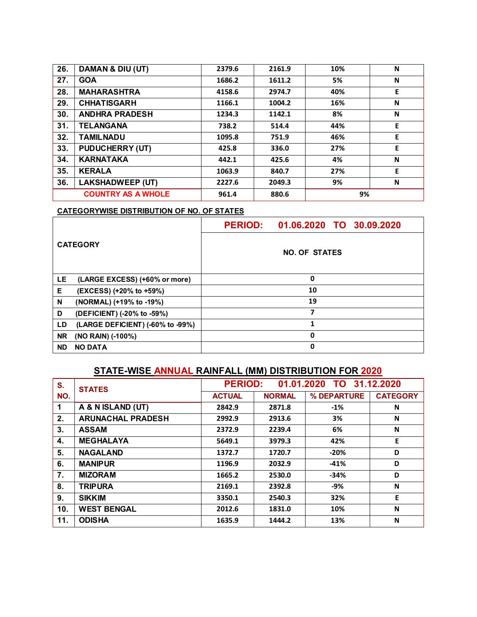| 26. | DAMAN & DIU (UT)          | 2379.6 | 2161.9 | 10% | N |
|-----|---------------------------|--------|--------|-----|---|
| 27. | <b>GOA</b>                | 1686.2 | 1611.2 | 5%  | N |
| 28. | <b>MAHARASHTRA</b>        | 4158.6 | 2974.7 | 40% | E |
| 29. | <b>CHHATISGARH</b>        | 1166.1 | 1004.2 | 16% | N |
| 30. | <b>ANDHRA PRADESH</b>     | 1234.3 | 1142.1 | 8%  | N |
| 31. | <b>TELANGANA</b>          | 738.2  | 514.4  | 44% | Е |
| 32. | <b>TAMILNADU</b>          | 1095.8 | 751.9  | 46% | E |
| 33. | <b>PUDUCHERRY (UT)</b>    | 425.8  | 336.0  | 27% | E |
| 34. | <b>KARNATAKA</b>          | 442.1  | 425.6  | 4%  | N |
| 35. | <b>KERALA</b>             | 1063.9 | 840.7  | 27% | Е |
| 36. | <b>LAKSHADWEEP (UT)</b>   | 2227.6 | 2049.3 | 9%  | N |
|     | <b>COUNTRY AS A WHOLE</b> | 961.4  | 880.6  | 9%  |   |

| <b>CATEGORY</b> |                                  | PERIOD: 01.06.2020 TO 30.09.2020 |  |  |
|-----------------|----------------------------------|----------------------------------|--|--|
|                 |                                  | <b>NO. OF STATES</b>             |  |  |
| LE.             | (LARGE EXCESS) (+60% or more)    | 0                                |  |  |
| Е               | (EXCESS) (+20% to +59%)          | 10                               |  |  |
| N               | (NORMAL) (+19% to -19%)          | 19                               |  |  |
| D               | (DEFICIENT) (-20% to -59%)       | 7                                |  |  |
| LD              | (LARGE DEFICIENT) (-60% to -99%) |                                  |  |  |
| <b>NR</b>       | (NO RAIN) (-100%)                | 0                                |  |  |
| <b>ND</b>       | <b>NO DATA</b>                   | 0                                |  |  |

# **STATE-WISE ANNUAL RAINFALL (MM) DISTRIBUTION FOR 2020**

| S.  | <b>STATES</b>            | 01.01.2020 TO 31.12.2020<br><b>PERIOD:</b> |               |             |                 |
|-----|--------------------------|--------------------------------------------|---------------|-------------|-----------------|
| NO. |                          | <b>ACTUAL</b>                              | <b>NORMAL</b> | % DEPARTURE | <b>CATEGORY</b> |
| 1   | A & N ISLAND (UT)        | 2842.9                                     | 2871.8        | $-1%$       | N               |
| 2.  | <b>ARUNACHAL PRADESH</b> | 2992.9                                     | 2913.6        | 3%          | N               |
| 3.  | <b>ASSAM</b>             | 2372.9                                     | 2239.4        | 6%          | N               |
| 4.  | <b>MEGHALAYA</b>         | 5649.1                                     | 3979.3        | 42%         | E               |
| 5.  | <b>NAGALAND</b>          | 1372.7                                     | 1720.7        | $-20%$      | D               |
| 6.  | <b>MANIPUR</b>           | 1196.9                                     | 2032.9        | $-41%$      | D               |
| 7.  | <b>MIZORAM</b>           | 1665.2                                     | 2530.0        | $-34%$      | D               |
| 8.  | <b>TRIPURA</b>           | 2169.1                                     | 2392.8        | -9%         | N               |
| 9.  | <b>SIKKIM</b>            | 3350.1                                     | 2540.3        | 32%         | E               |
| 10. | <b>WEST BENGAL</b>       | 2012.6                                     | 1831.0        | 10%         | N               |
| 11. | <b>ODISHA</b>            | 1635.9                                     | 1444.2        | 13%         | N               |